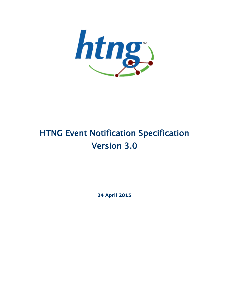

# HTNG Event Notification Specification Version 3.0

**24 April 2015**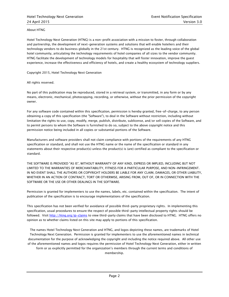About HTNG

Hotel Technology Next Generation (HTNG) is a non-profit association with a mission to foster, through collaboration and partnership, the development of next-generation systems and solutions that will enable hoteliers and their technology vendors to do business globally in the 21st century. HTNG is recognized as the leading voice of the global hotel community, articulating the technology requirements of hotel companies of all sizes to the vendor community. HTNG facilitate the development of technology models for hospitality that will foster innovation, improve the guest experience, increase the effectiveness and efficiency of hotels, and create a healthy ecosystem of technology suppliers.

Copyright 2015, Hotel Technology Next Generation

All rights reserved.

No part of this publication may be reproduced, stored in a retrieval system, or transmitted, in any form or by any means, electronic, mechanical, photocopying, recording, or otherwise, without the prior permission of the copyright owner.

For any software code contained within this specification, permission is hereby granted, free-of-charge, to any person obtaining a copy of this specification (the "Software"), to deal in the Software without restriction, including without limitation the rights to use, copy, modify, merge, publish, distribute, sublicense, and/or sell copies of the Software, and to permit persons to whom the Software is furnished to do so, subject to the above copyright notice and this permission notice being included in all copies or substantial portions of the Software.

Manufacturers and software providers shall not claim compliance with portions of the requirements of any HTNG specification or standard, and shall not use the HTNG name or the name of the specification or standard in any statements about their respective product(s) unless the product(s) is (are) certified as compliant to the specification or standard.

THE SOFTWARE IS PROVIDED "AS IS", WITHOUT WARRANTY OF ANY KIND, EXPRESS OR IMPLIED, INCLUDING BUT NOT LIMITED TO THE WARRANTIES OF MERCHANTABILITY, FITNESS FOR A PARTICULAR PURPOSE, AND NON-INFRINGEMENT. IN NO EVENT SHALL THE AUTHORS OR COPYRIGHT HOLDERS BE LIABLE FOR ANY CLAIM, DAMAGES, OR OTHER LIABILITY, WHETHER IN AN ACTION OF CONTRACT, TORT OR OTHERWISE, ARISING FROM, OUT OF, OR IN CONNECTION WITH THE SOFTWARE OR THE USE OR OTHER DEALINGS IN THE SOFTWARE.

Permission is granted for implementers to use the names, labels, etc. contained within the specification. The intent of publication of the specification is to encourage implementations of the specification.

This specification has not been verified for avoidance of possible third-party proprietary rights. In implementing this specification, usual procedures to ensure the respect of possible third-party intellectual property rights should be followed. Visit<http://htng.org/ip-claims> to view third-party claims that have been disclosed to HTNG. HTNG offers no opinion as to whether claims listed on this site may apply to portions of this specification.

The names Hotel Technology Next Generation and HTNG, and logos depicting these names, are trademarks of Hotel Technology Next Generation. Permission is granted for implementers to use the aforementioned names in technical documentation for the purpose of acknowledging the copyright and including the notice required above. All other use of the aforementioned names and logos requires the permission of Hotel Technology Next Generation, either in written form or as explicitly permitted for the organization's members through the current terms and conditions of membership.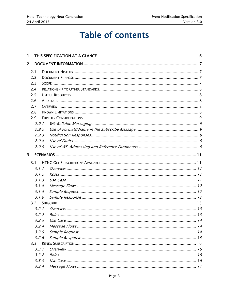# **Table of contents**

| 1                       |         |     |           |  |
|-------------------------|---------|-----|-----------|--|
| $\overline{2}$          |         |     |           |  |
|                         | 2.1     |     |           |  |
|                         | 2.2     |     |           |  |
|                         | 2.3     |     |           |  |
|                         | 2.4     |     |           |  |
|                         | 2.5     |     |           |  |
|                         | 2.6     |     |           |  |
|                         | 2.7     |     |           |  |
|                         | 2.8     |     |           |  |
|                         | 2.9     |     |           |  |
|                         | 2.9.1   |     |           |  |
|                         | 2.9.2   |     |           |  |
|                         | 2.9.3   |     |           |  |
|                         | 2.9.4   |     |           |  |
|                         | 2.9.5   |     |           |  |
| $\overline{\mathbf{3}}$ |         |     |           |  |
|                         | 3.1     |     |           |  |
|                         | 3.1.1   |     |           |  |
|                         | 3.1.2   |     |           |  |
|                         | 3.1.3   |     |           |  |
|                         | 3.1.4   |     |           |  |
|                         | 3.1.5   |     |           |  |
|                         | 3.1.6   |     |           |  |
|                         | 3.2     |     |           |  |
|                         | 3.2.1   |     |           |  |
|                         | 3.2.2   |     |           |  |
|                         |         | 323 | Ilse Case |  |
|                         | 3.2.4   |     |           |  |
|                         | 3.2.5   |     |           |  |
| 3.2.6                   |         |     |           |  |
|                         | $3.3 -$ |     |           |  |
|                         | 3.3.1   |     |           |  |
|                         | 3.3.2   |     |           |  |
|                         | 3.3.3   |     |           |  |
|                         | 3.3.4   |     |           |  |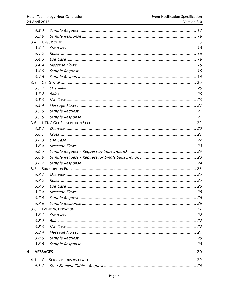| 3.3.5   |  |
|---------|--|
| 3.3.6   |  |
| 3.4     |  |
| 3.4.1   |  |
| 3.4.2   |  |
| 3, 4, 3 |  |
| 3.4.4   |  |
| 3.4.5   |  |
| 3.4.6   |  |
| 3.5     |  |
| 3.5.1   |  |
| 3.5.2   |  |
| 3.5.3   |  |
| 3.5.4   |  |
| 3.5.5   |  |
| 3.5.6   |  |
| 3.6     |  |
| 3.6.1   |  |
| 3.6.2   |  |
| 3.6.3   |  |
| 3.6.4   |  |
| 3.6.5   |  |
| 3.6.6   |  |
| 3.6.7   |  |
| 3.7     |  |
| 3.7.1   |  |
| 3.7.2   |  |
| 3.7.3   |  |
| 3.7.4   |  |
| 3.7.5   |  |
| 3.7.6   |  |
| 3.8     |  |
| 3.8.1   |  |
| 3.8.2   |  |
| 3.8.3   |  |
| 3.8.4   |  |
| 3.8.5   |  |
| 3.8.6   |  |
| 4       |  |
|         |  |
| 4.1     |  |
| 4.1.1   |  |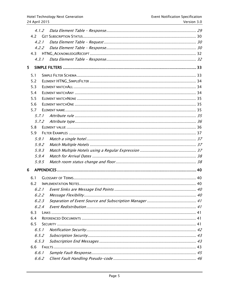|   | 4.1.2 |  |
|---|-------|--|
|   | 4.2   |  |
|   | 4.2.1 |  |
|   | 4.2.2 |  |
|   | 4.3   |  |
|   | 4.3.1 |  |
| 5 |       |  |
|   | 5.1   |  |
|   | 5.2   |  |
|   | 5.3   |  |
|   | 5.4   |  |
|   | 5.5   |  |
|   | 5.6   |  |
|   | 5.7   |  |
|   | 5.7.1 |  |
|   | 5.7.2 |  |
|   | 5.8   |  |
|   | 5.9   |  |
|   | 5.9.1 |  |
|   | 5.9.2 |  |
|   | 5.9.3 |  |
|   | 5.9.4 |  |
|   | 5.9.5 |  |
| 6 |       |  |
|   | 6.1   |  |
|   | 6.2   |  |
|   | 6.2.1 |  |
|   |       |  |
|   | 6.2.3 |  |
|   | 6.2.4 |  |
|   | 6.3   |  |
|   | 6.4   |  |
|   | 6.5   |  |
|   | 6.5.1 |  |
|   | 6.5.2 |  |
|   | 6.5.3 |  |
|   | 6.6   |  |
|   | 6.6.1 |  |
|   | 6.6.2 |  |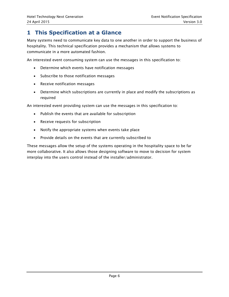# <span id="page-5-0"></span>**1 This Specification at a Glance**

Many systems need to communicate key data to one another in order to support the business of hospitality. This technical specification provides a mechanism that allows systems to communicate in a more automated fashion.

An interested event consuming system can use the messages in this specification to:

- Determine which events have notification messages
- Subscribe to those notification messages
- Receive notification messages
- Determine which subscriptions are currently in place and modify the subscriptions as required

An interested event providing system can use the messages in this specification to:

- Publish the events that are available for subscription
- Receive requests for subscription
- Notify the appropriate systems when events take place
- Provide details on the events that are currently subscribed to

These messages allow the setup of the systems operating in the hospitality space to be far more collaborative. It also allows those designing software to move to decision for system interplay into the users control instead of the installer/administrator.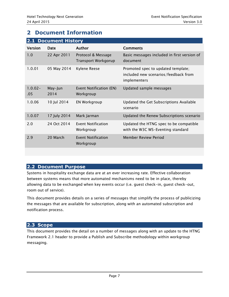# <span id="page-6-0"></span>**2 Document Information**

<span id="page-6-1"></span>

| <b>Document History</b><br>2.1 |                 |                                                  |                                                                                            |  |  |
|--------------------------------|-----------------|--------------------------------------------------|--------------------------------------------------------------------------------------------|--|--|
| <b>Version</b>                 | Date            | <b>Author</b>                                    | <b>Comments</b>                                                                            |  |  |
| 1.0                            | 22 Apr 2011     | Protocol & Message<br><b>Transport Workgorup</b> | Basic messages included in first version of<br>document                                    |  |  |
| 1.0.01                         | 05 May 2014     | Kylene Reese                                     | Promoted spec to updated template;<br>included new scenarios/feedback from<br>implementers |  |  |
| $1.0.02 -$<br>.05              | May-Jun<br>2014 | Event Notification (EN)<br>Workgroup             | Updated sample messages                                                                    |  |  |
| 1.0.06                         | 10 Jul 2014     | EN Workgroup                                     | Updated the Get Subscriptions Available<br>scenario                                        |  |  |
| 1.0.07                         | 17 July 2014    | Mark Jarman                                      | Updated the Renew Subscriptions scenario                                                   |  |  |
| 2.0                            | 24 Oct 2014     | <b>Event Notification</b><br>Workgroup           | Updated the HTNG spec to be compatible<br>with the W3C WS-Eventing standard                |  |  |
| 2.9                            | 20 March        | Event Notification<br>Workgroup                  | Member Review Period                                                                       |  |  |
|                                |                 |                                                  |                                                                                            |  |  |

# <span id="page-6-2"></span>**2.2 Document Purpose**

Systems in hospitality exchange data are at an ever increasing rate. Effective collaboration between systems means that more automated mechanisms need to be in place, thereby allowing data to be exchanged when key events occur (i.e. guest check-in, guest check-out, room out of service).

This document provides details on a series of messages that simplify the process of publicizing the messages that are available for subscription, along with an automated subscription and notification process.

#### <span id="page-6-3"></span>**2.3 Scope**

This document provides the detail on a number of messages along with an update to the HTNG Framework 2.1 header to provide a Publish and Subscribe methodology within workgroup messaging.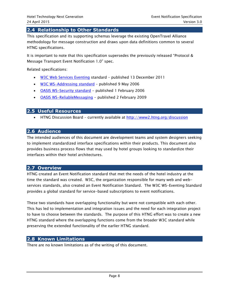## <span id="page-7-0"></span>**2.4 Relationship to Other Standards**

This specification and its supporting schemas leverage the existing OpenTravel Alliance methodology for message construction and draws upon data definitions common to several HTNG specifications.

It is important to note that this specification supersedes the previously released "Protocol & Message Transport Event Notification 1.0" spec.

Related specifications:

- [W3C Web Services Eventing](http://www.w3.org/TR/ws-eventing/) standard published 13 December 2011
- [W3C WS-Addressing standard](http://www.w3.org/TR/ws-addr-core/) published 9 May 2006
- **[OASIS WS-Security standard](https://www.oasis-open.org/committees/download.php/16790/wss-v1.1-spec-os-SOAPMessageSecurity.pdf)** published 1 February 2006
- [OASIS WS-ReliableMessaging](http://docs.oasis-open.org/ws-rx/wsrm/200702/wsrm-1.2-spec-os.html) published 2 February 2009

#### <span id="page-7-1"></span>**2.5 Useful Resources**

• HTNG Discussion Board – currently available at<http://www2.htng.org/discussion>

#### <span id="page-7-2"></span>**2.6 Audience**

The intended audiences of this document are development teams and system designers seeking to implement standardized interface specifications within their products. This document also provides business process flows that may used by hotel groups looking to standardize their interfaces within their hotel architectures.

#### <span id="page-7-3"></span>**2.7 Overview**

HTNG created an Event Notification standard that met the needs of the hotel industry at the time the standard was created. W3C, the organization responsible for many web and webservices standards, also created an Event Notification Standard. The W3C WS-Eventing Standard provides a global standard for service-based subscriptions to event notifications.

These two standards have overlapping functionality but were not compatible with each other. This has led to implementation and integration issues and the need for each integration project to have to choose between the standards. The purpose of this HTNG effort was to create a new HTNG standard where the overlapping functions come from the broader W3C standard while preserving the extended functionality of the earlier HTNG standard.

#### <span id="page-7-4"></span>**2.8 Known Limitations**

There are no known limitations as of the writing of this document.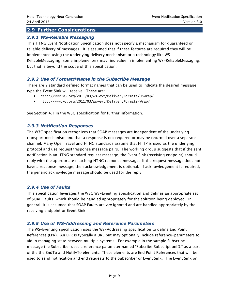# <span id="page-8-0"></span>**2.9 Further Considerations**

#### <span id="page-8-1"></span>*2.9.1 WS-Reliable Messaging*

This HTNG Event Notification Specification does not specify a mechanism for guaranteed or reliable delivery of messages. It is assumed that if these features are required they will be implemented using the underlying delivery mechanism or a technology like WS-ReliableMessaging. Some implementers may find value in implementing WS-ReliableMessaging, but that is beyond the scope of this specification.

#### <span id="page-8-2"></span>*2.9.2 Use of Format@Name in the Subscribe Message*

There are 2 standard defined format names that can be used to indicate the desired message type the Event Sink will receive. These are:

- http://www.w3.org/2011/03/ws-evt/DeliveryFormats/Unwrap/
- http://www.w3.org/2011/03/ws-evt/DeliveryFormats/Wrap/

See Section 4.1 in the W3C specification for further information.

#### <span id="page-8-3"></span>*2.9.3 Notification Responses*

The W3C specification recognizes that SOAP messages are independent of the underlying transport mechanism and that a response is not required or may be returned over a separate channel. Many OpenTravel and HTNG standards assume that HTTP is used as the underlying protocol and use request/response message pairs. The working group suggests that if the sent notification is an HTNG standard request message, the Event Sink (receiving endpoint) should reply with the appropriate matching HTNG response message. If the request message does not have a response message, then acknowledgement is optional. If acknowledgement is required, the generic acknowledge message should be used for the reply.

#### <span id="page-8-4"></span>*2.9.4 Use of Faults*

This specification leverages the W3C WS-Eventing specification and defines an appropriate set of SOAP Faults, which should be handled appropriately for the solution being deployed. In general, it is assumed that SOAP Faults are *not* ignored and are handled appropriately by the receiving endpoint or Event Sink.

#### <span id="page-8-5"></span>*2.9.5 Use of WS-Addressing and Reference Parameters*

The WS-Eventing specification uses the WS-Addressing specification to define End Point References (EPR). An EPR is typically a URL but may optionally include reference-parameters to aid in managing state between multiple systems. For example in the sample Subscribe message the Subscriber uses a reference parameter named "SubcriberSubscriptionID:" as a part of the the EndTo and NotifyTo elements. These elements are End Point References that will be used to send notification and end requests to the Subscriber or Event Sink. The Event Sink or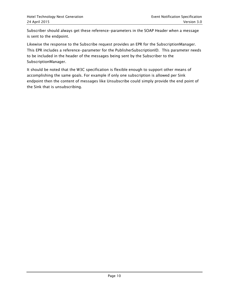Subscriber should always get these reference-parameters in the SOAP Header when a message is sent to the endpoint.

Likewise the response to the Subscribe request provides an EPR for the SubscriptionManager. This EPR includes a reference-parameter for the PublisherSubscriptionID. This parameter needs to be included in the header of the messages being sent by the Subscriber to the SubscriptionManager.

It should be noted that the W3C specification is flexible enough to support other means of accomplishing the same goals. For example if only one subscription is allowed per Sink endpoint then the content of messages like Unsubscribe could simply provide the end point of the Sink that is unsubscribing.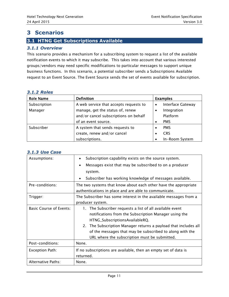# <span id="page-10-0"></span>**3 Scenarios**

# <span id="page-10-1"></span>**3.1 HTNG Get Subscriptions Available**

#### <span id="page-10-2"></span>*3.1.1 Overview*

This scenario provides a mechanism for a subscribing system to request a list of the available notification events to which it may subscribe. This takes into account that various interested groups/vendors may need specific modifications to particular messages to support unique business functions. In this scenario, a potential subscriber sends a Subscriptions Available request to an Event Source. The Event Source sends the set of events available for subscription.

#### <span id="page-10-3"></span>*3.1.2 Roles*

| <b>Role Name</b> | <b>Definition</b>                      | <b>Examples</b>                       |
|------------------|----------------------------------------|---------------------------------------|
| Subscription     | A web service that accepts requests to | <b>Interface Gateway</b><br>$\bullet$ |
| Manager          | manage, get the status of, renew       | Integration                           |
|                  | and/or cancel subscriptions on behalf  | Platform                              |
|                  | of an event source.                    | <b>PMS</b>                            |
| Subscriber       | A system that sends requests to        | <b>PMS</b>                            |
|                  | create, renew and/or cancel            | <b>CRS</b>                            |
|                  | subscriptions.                         | In-Room System                        |

| J.L.J US <del>c</del> Lasc     |                                                                     |  |  |
|--------------------------------|---------------------------------------------------------------------|--|--|
| Assumptions:                   | Subscription capability exists on the source system.                |  |  |
|                                | Messages exist that may be subscribed to on a producer<br>$\bullet$ |  |  |
|                                | system.                                                             |  |  |
|                                | Subscriber has working knowledge of messages available.             |  |  |
| Pre-conditions:                | The two systems that know about each other have the appropriate     |  |  |
|                                | authentications in place and are able to communicate.               |  |  |
| Trigger:                       | The Subscriber has some interest in the available messages from a   |  |  |
|                                | producer system.                                                    |  |  |
| <b>Basic Course of Events:</b> | The Subscriber requests a list of all available event<br>1.         |  |  |
|                                | notifications from the Subscription Manager using the               |  |  |
|                                | HTNG_SubscriptionsAvailableRQ.                                      |  |  |
|                                | 2. The Subscription Manager returns a payload that includes all     |  |  |
|                                | of the messages that may be subscribed to along with the            |  |  |
|                                | URL where the subscription must be submitted.                       |  |  |
| Post-conditions:               | None.                                                               |  |  |
| Exception Path:                | If no subscriptions are available, then an empty set of data is     |  |  |
|                                | returned.                                                           |  |  |
| Alternative Paths:             | None.                                                               |  |  |

#### <span id="page-10-4"></span>*3.1.3 Use Case*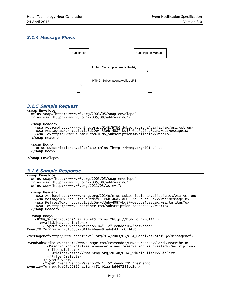### <span id="page-11-0"></span>*3.1.4 Message Flows*



## <span id="page-11-1"></span>*3.1.5 Sample Request*

```
<soap:Envelope
  xmlns:soap="http://www.w3.org/2003/05/soap-envelope"
   xmlns:wsa="http://www.w3.org/2005/08/addressing">
   <soap:Header>
     <wsa:Action>http://www.htng.org/2014B/HTNG_SubscriptionsAvailable</wsa:Action>
     <wsa:MessageID>urn:uuid:1d8d20e4-33eb-4087-bd57-6ec6d24ba3ce</wsa:MessageID>
     <wsa:To>https://www.submgr.com/HTNG_SubscriptionsAvailable</wsa:To>
   </soap:Header>
   <soap:Body>
     <HTNG_SubscriptionsAvailableRQ xmlns="http://htng.org/2014B" />
   </soap:Body>
</soap:Envelope>
```
# <span id="page-11-2"></span>*3.1.6 Sample Response*

```
<soap:Envelope
 xmlns:soap="http://www.w3.org/2003/05/soap-envelope"
 xmlns:wsa="http://www.w3.org/2005/08/addressing"
 xmlns:wse="http://www.w3.org/2011/03/ws-evt">
   <soap:Header>
     <wsa:Action>http://www.htng.org/2014B/HTNG_SubscriptionsAvailableRS</wsa:Action>
 <wsa:MessageID>urn:uuid:8e9cd5fe-1e6b-46d5-a606-3c80b3db08c2</wsa:MessageID>
 <wsa:RelatesTo>urn:uuid:1d8d20e4-33eb-4087-bd57-6ec6d24ba3ce</wsa:RelatesTo>
     <wsa:To>https://www.subscriber.com/subscription_responses</wsa:To>
   </soap:Header>
  <soap:Body>
     <HTNG_SubscriptionsAvailableRS xmlns="http://htng.org/2014B">
       <AvailableSubscriptions>
         <TypeOfEvent VendorVersionID="1.2" VendorID="resVendor"
EventID="urn:uuid:2515d557-04f4-46ae-81a4-bd3f1d07145b">
<MessageDef>http://www.opentravel.org/OTA/2003/05/OTA_HotelResNotifRQ</MessageDef>
<SendSubscribeTo>https://www.submgr.com/resVendor/OnResCreated</SendSubscribeTo>
           <Description>Notifies whenever a new reservation is created</Description>
           <FilterDialects>
             <Dialect>http://www.htng.org/2014B/HTNG_SimpleFilter</Dialect>
           </FilterDialects>
         </TypeOfEvent>
         <TypeOfEvent VendorVersionID="1.5" VendorID="resVendor"
EventID="urn:uuid:0fb99862-ce8e-4f51-b1aa-bd467243ee2d">
```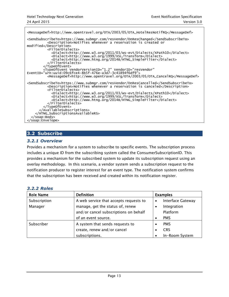<MessageDef>http://www.opentravel.org/OTA/2003/05/OTA\_HotelResNotifRQ</MessageDef> <SendSubscribeTo>https://www.submgr.com/resVendor/OnResChanged</SendSubscribeTo> <Description>Notifies whenever a reservation is created or modified</Description> <FilterDialects> <Dialect>http://www.w3.org/2011/03/ws-evt/Dialects/XPath10</Dialect> <Dialect>http://www.w3.org/1999/XSL/Transform</Dialect> <Dialect>http://www.htng.org/2014B/HTNG\_SimpleFilter</Dialect> </FilterDialects> </TypeOfEvent> <TypeOfEvent VendorVersionID="1.2" VendorID="resVendor" EventID="urn:uuid:09c6fce4-8b5f-476e-a3d7-3c41894f6df9"> <MessageDef>http://www.opentravel.org/OTA/2003/05/OTA\_CancelRQ</MessageDef> <SendSubscribeTo>https://www.submgr.com/resVendor/OnResCancelled</SendSubscribeTo> <Description>Notifies whenever a reservation is canceled</Description> <FilterDialects> <Dialect>http://www.w3.org/2011/03/ws-evt/Dialects/XPath10</Dialect> <Dialect>http://www.w3.org/1999/XSL/Transform</Dialect> <Dialect>http://www.htng.org/2014B/HTNG\_SimpleFilter</Dialect> </FilterDialects> </TypeOfEvent> </AvailableSubscriptions> </HTNG\_SubscriptionsAvailableRS> </soap:Body> </soap:Envelope>

# <span id="page-12-0"></span>**3.2 Subscribe**

#### <span id="page-12-1"></span>*3.2.1 Overview*

Provides a mechanism for a system to subscribe to specific events. The subscription process includes a unique ID from the subscribing system called the ConsumerSubscriptionID. This provides a mechanism for the subscribed system to update its subscription request using an overlay methodology. In this scenario, a vendor system sends a subscription request to the notification producer to register interest for an event type. The notification system confirms that the subscription has been received and created within its notification register.

<span id="page-12-2"></span>

|--|

| <b>Role Name</b> | <b>Definition</b>                      |           | <b>Examples</b>          |
|------------------|----------------------------------------|-----------|--------------------------|
| Subscription     | A web service that accepts requests to | $\bullet$ | <b>Interface Gateway</b> |
| Manager          | manage, get the status of, renew       |           | Integration              |
|                  | and/or cancel subscriptions on behalf  |           | Platform                 |
|                  | of an event source.                    |           | <b>PMS</b>               |
| Subscriber       | A system that sends requests to        |           | <b>PMS</b>               |
|                  | create, renew and/or cancel            |           | <b>CRS</b>               |
|                  | subscriptions.                         |           | In-Room System           |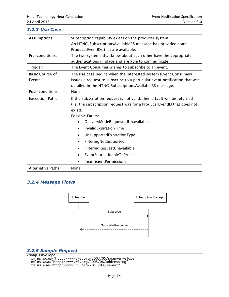#### <span id="page-13-0"></span>*3.2.3 Use Case*

| Assumptions:           | Subscription capability exists on the producer system.<br>An HTNG_SubscriptionsAvailableRS message has provided some |  |  |
|------------------------|----------------------------------------------------------------------------------------------------------------------|--|--|
|                        | ProducerEventIDs that are available.                                                                                 |  |  |
| Pre-conditions:        | The two systems that know about each other have the appropriate                                                      |  |  |
|                        | authentications in place and are able to communicate.                                                                |  |  |
| Trigger:               | The Event Consumer wishes to subscribe to an event.                                                                  |  |  |
| <b>Basic Course of</b> | The use case begins when the interested system (Event Consumer)                                                      |  |  |
| Events:                | issues a request to subscribe to a particular event notification that was                                            |  |  |
|                        | detailed in the HTNG_SubscriptionsAvailableRS message.                                                               |  |  |
| Post-conditions:       | None.                                                                                                                |  |  |
| <b>Exception Path:</b> | If the subscription request is not valid, then a fault will be returned                                              |  |  |
|                        | (i.e. the subscription request was for a ProducerEventID that does not                                               |  |  |
|                        | exist).                                                                                                              |  |  |
|                        | Possible Faults:                                                                                                     |  |  |
|                        | DeliveryModeRequestedUnavailable<br>$\bullet$                                                                        |  |  |
|                        | InvalidExpirationTime<br>$\bullet$                                                                                   |  |  |
|                        | UnsupportedExpirationType<br>$\bullet$                                                                               |  |  |
|                        | FilteringNotSupported<br>$\bullet$                                                                                   |  |  |
|                        | FilteringRequestUnavailable<br>$\bullet$                                                                             |  |  |
|                        | EventSourceUnableToProcess                                                                                           |  |  |
|                        | <b>InsufficientPermissions</b>                                                                                       |  |  |
| Alternative Paths:     | None.                                                                                                                |  |  |

# <span id="page-13-1"></span>*3.2.4 Message Flows*



#### <span id="page-13-2"></span>*3.2.5 Sample Request*

```
<soap:Envelope
 xmlns:soap="http://www.w3.org/2003/05/soap-envelope"
 xmlns:wsa="http://www.w3.org/2005/08/addressing"
 xmlns:wse="http://www.w3.org/2011/03/ws-evt"
```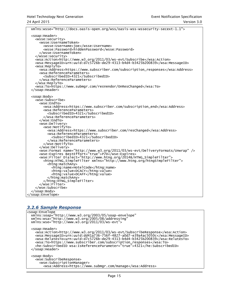xmlns:wsse="http://docs.oasis-open.org/wss/oasis-wss-wssecurity-secext-1.1"> <soap:Header> <wsse:security> <wsse:UsernameToken> <wsse:Username>joe</wsse:Username> <wsse:Password>hiddenPassword</wsse:Password> </wsse:UsernameToken> </wsse:security> <wsa:Action>http://www.w3.org/2011/03/ws-evt/Subscribe</wsa:Action> <wsa:MessageID>urn:uuid:d7c5726b-de29-4313-b4d4-b3425b200839</wsa:MessageID> <wsa:ReplyTo> <wsa:Address>https://www.subscriber.com/subscription\_responses</wsa:Address> <wsa:ReferenceParameters> <SubscribedID>4321</SubscribedID> </wsa:ReferenceParameters> </wsa:ReplyTo> <wsa:To>https://www.submgr.com/resVendor/OnResChanged</wsa:To> </soap:Header> <soap:Body> <wse:Subscribe> <wse:EndTo> <wsa:Address>https://www.subscriber.com/subscription\_end</wsa:Address> <wsa:ReferenceParameters> <SubscribedID>4321</SubscribedID> </wsa:ReferenceParameters> </wse:EndTo> <wse:Delivery> <wse:NotifyTo> <wsa:Address>https://www.subscriber.com/resChanged</wsa:Address> <wsa:ReferenceParameters> <SubscribedID>4321</SubscribedID> </wsa:ReferenceParameters> </wse:NotifyTo> </wse:Delivery> <wse:Format name="http://www.w3.org/2011/03/ws-evt/DeliveryFormats/Unwrap" /> <wse:Expires BestEffort="true">P7D</wse:Expires> <wse:Filter Dialect="http://www.htng.org/2014B/HTNG\_SimpleFilter"> <htng:HTNG\_SimpleFilter xmlns="http://www.htng.org/htngSimpleFilter"> <htng:matchAny> <htng:name>HotelCode</htng:name> <htng:value>DCACY</htng:value> <htng:value>DCAFF</htng:value> </htng:matchAny> </htng:HTNG\_SimpleFilter> </wse:Filter> </wse:Subscribe> </soap:Body> </soap:Envelope>

#### <span id="page-14-0"></span>*3.2.6 Sample Response*

```
<soap:Envelope
  xmlns:soap="http://www.w3.org/2003/05/soap-envelope"
  xmlns:wsa="http://www.w3.org/2005/08/addressing"
  xmlns:wse="http://www.w3.org/2011/03/ws-evt">
  <soap:Header>
    <wsa:Action>http://www.w3.org/2011/03/ws-evt/SubscribeResponse</wsa:Action>
    <wsa:MessageID>urn:uuid:dd41a736-756f-4827-a0d7-e39a4ac5050c</wsa:MessageID>
    <wsa:RelatesTo>urn:uuid:d7c5726b-de29-4313-b4d4-b3425b200839</wsa:RelatesTo>
 <wsa:To>https://www.subscriber.com/subscription_responses</wsa:To>
 <he:SubscribedID wsa:IsReferenceParameter="true">4321</he:SubscribedID>
  </soap:Header>
  <soap:Body>
    <wse:SubscribeResponse>
      <wse:SubscriptionManager>
         <wsa:Address>https://www.submgr.com/manage</wsa:Address>
```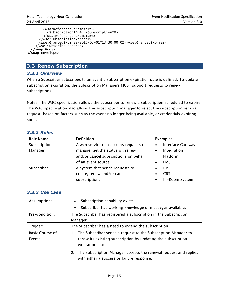```
 <wsa:ReferenceParameters>
           <SubscriptionID>41</SubscriptionID>
         </wsa:ReferenceParameters>
       </wse:SubscriptionManager>
       <wse:GrantedExpires>2015-03-01T13:30:00.0Z</wse:GrantedExpires>
    </wse:SubscribeResponse>
   </soap:Body>
</soap:Envelope>
```
# <span id="page-15-0"></span>**3.3 Renew Subscription**

#### <span id="page-15-1"></span>*3.3.1 Overview*

When a Subscriber subscribes to an event a subscription expiration date is defined. To update subscription expiration, the Subscription Managers MUST support requests to renew subscriptions.

Notes: The W3C specification allows the subscriber to renew a subscription scheduled to expire. The W3C specification also allows the subscription manager to reject the subscription renewal request, based on factors such as the event no longer being available, or credentials expiring soon.

| <b>Role Name</b> | <b>Definition</b>                      | <b>Examples</b>                       |
|------------------|----------------------------------------|---------------------------------------|
| Subscription     | A web service that accepts requests to | <b>Interface Gateway</b><br>$\bullet$ |
| Manager          | manage, get the status of, renew       | Integration<br>$\bullet$              |
|                  | and/or cancel subscriptions on behalf  | Platform                              |
|                  | of an event source.                    | <b>PMS</b>                            |
| Subscriber       | A system that sends requests to        | <b>PMS</b>                            |
|                  | create, renew and/or cancel            | <b>CRS</b>                            |
|                  | subscriptions.                         | In-Room System                        |

## <span id="page-15-2"></span>*3.3.2 Roles*

#### <span id="page-15-3"></span>*3.3.3 Use Case*

| Assumptions:                      | Subscription capability exists.<br>$\bullet$<br>Subscriber has working knowledge of messages available.<br>$\bullet$                                 |  |  |
|-----------------------------------|------------------------------------------------------------------------------------------------------------------------------------------------------|--|--|
| Pre-condition:                    | The Subscriber has registered a subscription in the Subscription<br>Manager.                                                                         |  |  |
| Trigger:                          | The Subscriber has a need to extend the subscription.                                                                                                |  |  |
| <b>Basic Course of</b><br>Events: | 1. The Subscriber sends a request to the Subscription Manager to<br>renew its existing subscription by updating the subscription<br>expiration date. |  |  |
|                                   | The Subscription Manager accepts the renewal request and replies<br>2.<br>with either a success or failure response.                                 |  |  |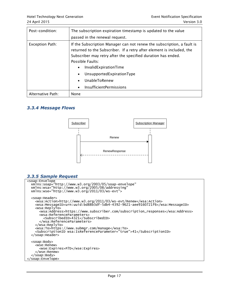| Post-condition:        | The subscription expiration timestamp is updated to the value                                                                                                                                                                                                                                                                                                                               |  |  |
|------------------------|---------------------------------------------------------------------------------------------------------------------------------------------------------------------------------------------------------------------------------------------------------------------------------------------------------------------------------------------------------------------------------------------|--|--|
|                        | passed in the renewal request.                                                                                                                                                                                                                                                                                                                                                              |  |  |
| <b>Exception Path:</b> | If the Subscription Manager can not renew the subscription, a fault is<br>returned to the Subscriber. If a retry after element is included, the<br>Subscriber may retry after the specified duration has ended.<br>Possible Faults:<br>InvalidExpirationTime<br>UnsupportedExpirationType<br>$\bullet$<br>UnableToRenew<br>$\bullet$<br><b>InsufficientPermissions</b><br>$\bullet$<br>None |  |  |
| Alternative Path:      |                                                                                                                                                                                                                                                                                                                                                                                             |  |  |

#### <span id="page-16-0"></span>*3.3.4 Message Flows*



# <span id="page-16-1"></span>*3.3.5 Sample Request*

```
<soap:Envelope
 xmlns:soap="http://www.w3.org/2003/05/soap-envelope"
 xmlns:wsa="http://www.w3.org/2005/08/addressing"
 xmlns:wse="http://www.w3.org/2011/03/ws-evt">
   <soap:Header>
     <wsa:Action>http://www.w3.org/2011/03/ws-evt/Renew</wsa:Action>
     <wsa:MessageID>urn:uuid:bd88b3df-5db4-4392-9621-aee9160721f6</wsa:MessageID> 
     <wsa:ReplyTo>
       <wsa:Address>https://www.subscriber.com/subscription_responses</wsa:Address>
       <wsa:ReferenceParameters>
         <SubscribedID>4321</SubscribedID>
       </wsa:ReferenceParameters>
     </wsa:ReplyTo>
     <wsa:To>https://www.submgr.com/manage</wsa:To>
     <SubscriptionID wsa:IsReferenceParameter="true">41</SubscriptionID>
   </soap:Header>
   <soap:Body>
     <wse:Renew>
       <wse:Expires>P7D</wse:Expires>
     </wse:Renew>
   </soap:Body>
</soap:Envelope>
```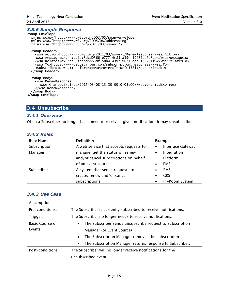# <span id="page-17-0"></span>*3.3.6 Sample Response*

```
<soap:Envelope
 xmlns:soap="http://www.w3.org/2003/05/soap-envelope"
 xmlns:wsa="http://www.w3.org/2005/08/addressing"
 xmlns:wse="http://www.w3.org/2011/03/ws-evt">
  <soap:Header>
 <wsa:Action>http://www.w3.org/2011/03/ws-evt/RenewResponse</wsa:Action>
 <wsa:MessageID>urn:uuid:8dcd0566-e777-4c85-a39c-19432cc6c3eb</wsa:MessageID>
 <wsa:RelatesTo>urn:uuid:bd88b3df-5db4-4392-9621-aee9160721f6</wsa:RelatesTo>
    <wsa:To>https://www.subscriber.com/subscription_responses</wsa:To>
     <SubscribedID wsa:IsReferenceParameter="true">4321</SubscribedID>
  </soap:Header>
  <soap:Body>
    <wse:RenewResponse>
       <wse:GrantedExpires>2015-03-08T13:30:00.0-05:00</wse:GrantedExpires>
     </wse:RenewResponse>
   </soap:Body>
</soap:Envelope>
```
# <span id="page-17-1"></span>**3.4 Unsubscribe**

#### <span id="page-17-2"></span>*3.4.1 Overview*

When a Subscriber no longer has a need to receive a given notification, it may unsubscribe.

<span id="page-17-3"></span>

| <b>3.4.2 Roles</b> |
|--------------------|
|                    |

| <b>Role Name</b> | <b>Definition</b>                      | <b>Examples</b> |                   |
|------------------|----------------------------------------|-----------------|-------------------|
| Subscription     | A web service that accepts requests to | $\bullet$       | Interface Gateway |
| Manager          | manage, get the status of, renew       |                 | Integration       |
|                  | and/or cancel subscriptions on behalf  |                 | Platform          |
|                  | of an event source.                    |                 | <b>PMS</b>        |
| Subscriber       | A system that sends requests to        |                 | <b>PMS</b>        |
|                  | create, renew and/or cancel            |                 | <b>CRS</b>        |
|                  | subscriptions.                         |                 | In-Room System    |

#### <span id="page-17-4"></span>*3.4.3 Use Case*

| Assumptions:           |                                                                       |  |  |
|------------------------|-----------------------------------------------------------------------|--|--|
| Pre-conditions:        | The Subscriber is currently subscribed to receive notifications.      |  |  |
| Trigger:               | The Subscriber no longer needs to receive notifications.              |  |  |
| <b>Basic Course of</b> | The Subscriber sends unsubscribe request to Subscription<br>$\bullet$ |  |  |
| Events:                | Manager (or Event Source)                                             |  |  |
|                        | The Subscription Manager removes the subscription<br>$\bullet$        |  |  |
|                        | The Subscription Manager returns response to Subscriber.<br>$\bullet$ |  |  |
| Post-conditions:       | The Subscriber will no longer receive notifications for the           |  |  |
|                        | unsubscribed event.                                                   |  |  |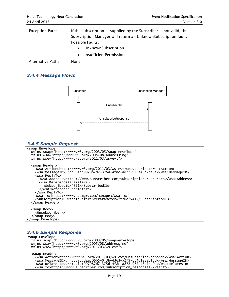| Exception Path:    | If the subscription id supplied by the Subscriber is not valid, the |  |  |
|--------------------|---------------------------------------------------------------------|--|--|
|                    | Subscription Manager will return an UnknownSubscription fault.      |  |  |
|                    | Possible Faults:                                                    |  |  |
|                    | UnknownSubscription                                                 |  |  |
|                    | InsufficientPermissions                                             |  |  |
| Alternative Paths: | None.                                                               |  |  |

#### <span id="page-18-0"></span>*3.4.4 Message Flows*



#### <span id="page-18-1"></span>*3.4.5 Sample Request*

```
<soap:Envelope
  xmlns:soap="http://www.w3.org/2003/05/soap-envelope"
 xmlns:wsa="http://www.w3.org/2005/08/addressing"
 xmlns:wse="http://www.w3.org/2011/03/ws-evt">
   <soap:Header>
 <wsa:Action>http://www.w3.org/2011/03/ws-evt/Unsubscribe</wsa:Action>
 <wsa:MessageID>urn:uuid:997087d7-375d-4f8c-a872-972e46c7ba9a</wsa:MessageID>
     <wsa:ReplyTo>
       <wsa:Address>https://www.subscriber.com/subscription_responses</wsa:Address>
       <wsa:ReferenceParameters>
         <SubscribedID>4321</SubscribedID>
       </wsa:ReferenceParameters>
     </wsa:ReplyTo>
     <wsa:To>https://www.submgr.com/manage</wsa:To>
     <SubscriptionID wsa:IsReferenceParameter="true">41</SubscriptionID>
   </soap:Header>
   <soap:Body>
     <Unsubscribe />
   </soap:Body>
</soap:Envelope>
```
#### <span id="page-18-2"></span>*3.4.6 Sample Response*

```
<soap:Envelope
 xmlns:soap="http://www.w3.org/2003/05/soap-envelope"
 xmlns:wsa="http://www.w3.org/2005/08/addressing"
 xmlns:wse="http://www.w3.org/2011/03/ws-evt">
  <soap:Header>
 <wsa:Action>http://www.w3.org/2011/03/ws-evt/UnsubscribeResponse</wsa:Action>
 <wsa:MessageID>urn:uuid:dae306b5-0f3b-4363-a279-cc401e3a0f5d</wsa:MessageID>
     <wsa:RelatesTo>urn:uuid:997087d7-375d-4f8c-a872-972e46c7ba9a</wsa:RelatesTo>
     <wsa:To>https://www.subscriber.com/subscription_responses</wsa:To>
```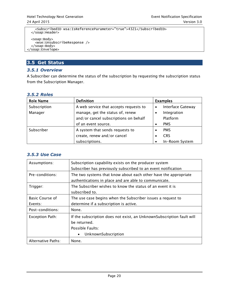```
 <SubscribedID wsa:IsReferenceParameter="true">4321</SubscribedID>
  </soap:Header>
  <soap:Body>
    <wse:UnsubscribeResponse />
 </soap:Body>
</soap:Envelope>
```
# <span id="page-19-0"></span>**3.5 Get Status**

## <span id="page-19-1"></span>*3.5.1 Overview*

A Subscriber can determine the status of the subscription by requesting the subscription status from the Subscription Manager.

#### <span id="page-19-2"></span>*3.5.2 Roles*

| <b>Role Name</b> | <b>Definition</b>                      |           | <b>Examples</b>          |
|------------------|----------------------------------------|-----------|--------------------------|
| Subscription     | A web service that accepts requests to | $\bullet$ | <b>Interface Gateway</b> |
| Manager          | manage, get the status of, renew       | ٠         | Integration              |
|                  | and/or cancel subscriptions on behalf  |           | Platform                 |
|                  | of an event source.                    |           | <b>PMS</b>               |
| Subscriber       | A system that sends requests to        |           | <b>PMS</b>               |
|                  | create, renew and/or cancel            |           | <b>CRS</b>               |
|                  | subscriptions.                         |           | In-Room System           |

#### <span id="page-19-3"></span>*3.5.3 Use Case*

| Assumptions:           | Subscription capability exists on the producer system<br>Subscriber has previously subscribed to an event notification                        |  |
|------------------------|-----------------------------------------------------------------------------------------------------------------------------------------------|--|
| Pre-conditions:        | The two systems that know about each other have the appropriate<br>authentications in place and are able to communicate.                      |  |
| Trigger:               | The Subscriber wishes to know the status of an event it is<br>subscribed to.                                                                  |  |
| <b>Basic Course of</b> | The use case begins when the Subscriber issues a request to                                                                                   |  |
| Events:                | determine if a subscription is active.                                                                                                        |  |
| Post-conditions:       | None.                                                                                                                                         |  |
| <b>Exception Path:</b> | If the subscription does not exist, an UnknownSubscription fault will<br>be returned.<br>Possible Faults:<br>UnknownSubscription<br>$\bullet$ |  |
| Alternative Paths:     | None.                                                                                                                                         |  |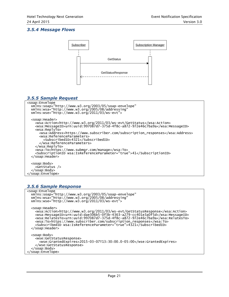#### <span id="page-20-0"></span>*3.5.4 Message Flows*



#### <span id="page-20-1"></span>*3.5.5 Sample Request*

```
<soap:Envelope
  xmlns:soap="http://www.w3.org/2003/05/soap-envelope"
 xmlns:wsa="http://www.w3.org/2005/08/addressing"
 xmlns:wse="http://www.w3.org/2011/03/ws-evt">
   <soap:Header>
 <wsa:Action>http://www.w3.org/2011/03/ws-evt/GetStatus</wsa:Action>
 <wsa:MessageID>urn:uuid:997087d7-375d-4f8c-a872-972e46c7ba9a</wsa:MessageID>
     <wsa:ReplyTo>
       <wsa:Address>https://www.subscriber.com/subscription_responses</wsa:Address>
       <wsa:ReferenceParameters>
         <SubscribedID>4321</SubscribedID>
       </wsa:ReferenceParameters>
     </wsa:ReplyTo>
     <wsa:To>https://www.submgr.com/manage</wsa:To>
     <SubscriptionID wsa:IsReferenceParameter="true">41</SubscriptionID>
   </soap:Header>
   <soap:Body>
     <GetStatus />
   </soap:Body>
</soap:Envelope>
```
#### <span id="page-20-2"></span>*3.5.6 Sample Response*

```
<soap:Envelope
 xmlns:soap="http://www.w3.org/2003/05/soap-envelope"
 xmlns:wsa="http://www.w3.org/2005/08/addressing"
 xmlns:wse="http://www.w3.org/2011/03/ws-evt">
  <soap:Header>
 <wsa:Action>http://www.w3.org/2011/03/ws-evt/GetStatusResponse</wsa:Action>
 <wsa:MessageID>urn:uuid:dae306b5-0f3b-4363-a279-cc401e3a0f5d</wsa:MessageID>
     <wsa:RelatesTo>urn:uuid:997087d7-375d-4f8c-a872-972e46c7ba9a</wsa:RelatesTo>
     <wsa:To>https://www.subscriber.com/subscription_responses</wsa:To>
     <SubscribedID wsa:IsReferenceParameter="true">4321</SubscribedID>
  </soap:Header>
  <soap:Body>
     <wse:GetStatusResponse>
       <wse:GrantedExpires>2015-03-07T13:30:00.0-05:00</wse:GrantedExpires>
     </wse:GetStatusResponse>
   </soap:Body>
</soap:Envelope>
```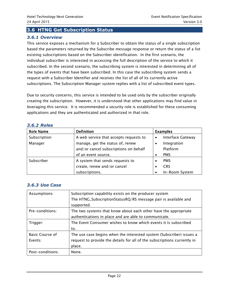## <span id="page-21-0"></span>**3.6 HTNG Get Subscription Status**

#### <span id="page-21-1"></span>*3.6.1 Overview*

This service exposes a mechanism for a Subscriber to obtain the status of a single subscription based the parameters returned by the Subscribe message response or return the status of a list existing subscriptions based on the Subscriber identification. In the first scenario, the individual subscriber is interested in accessing the full description of the service to which it subscribed. In the second scenario, the subscribing system is interested in determining all of the types of events that have been subscribed. In this case the subscribing system sends a request with a Subscriber Identifier and receives the list of all of its currently active subscriptions. The Subscription Manager system replies with a list of subscribed event types.

Due to security concerns, this service is intended to be used only by the subscriber originally creating the subscription. However, it is understood that other applications may find value in leveraging this service. It is recommended a security role is established for these consuming applications and they are authenticated and authorized in that role.

| <b>Role Name</b> | <b>Definition</b>                                                         | <b>Examples</b>         |  |
|------------------|---------------------------------------------------------------------------|-------------------------|--|
| Subscription     | A web service that accepts requests to                                    | Interface Gateway       |  |
| Manager          | manage, get the status of, renew<br>and/or cancel subscriptions on behalf | Integration<br>Platform |  |
|                  | of an event source.                                                       | <b>PMS</b>              |  |
| Subscriber       | A system that sends requests to                                           | <b>PMS</b>              |  |
|                  | create, renew and/or cancel                                               | <b>CRS</b>              |  |
|                  | subscriptions.                                                            | In-Room System          |  |

#### <span id="page-21-2"></span>*3.6.2 Roles*

#### <span id="page-21-3"></span>*3.6.3 Use Case*

| Assumptions:                      | Subscription capability exists on the producer system<br>The HTNG_SubscriptionStatusRQ/RS message pair is available and<br>supported.                      |
|-----------------------------------|------------------------------------------------------------------------------------------------------------------------------------------------------------|
| Pre-conditions:                   | The two systems that know about each other have the appropriate<br>authentications in place and are able to communicate.                                   |
| Trigger:                          | The Event Consumer wishes to know which events it is subscribed<br>to.                                                                                     |
| <b>Basic Course of</b><br>Events: | The use case begins when the interested system (Subscriber) issues a<br>request to provide the details for all of the subscriptions currently in<br>place. |
| Post-conditions:                  | None.                                                                                                                                                      |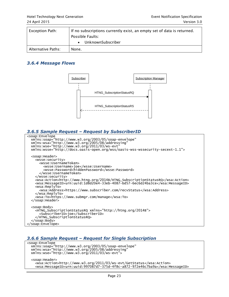| <b>Exception Path:</b> | If no subscriptions currently exist, an empty set of data is returned.<br>Possible Faults: |  |  |
|------------------------|--------------------------------------------------------------------------------------------|--|--|
|                        | UnknownSubscriber                                                                          |  |  |
| Alternative Paths:     | None.                                                                                      |  |  |

#### <span id="page-22-0"></span>*3.6.4 Message Flows*



#### <span id="page-22-1"></span>*3.6.5 Sample Request – Request by SubscriberID*

```
<soap:Envelope
 xmlns:soap="http://www.w3.org/2003/05/soap-envelope"
 xmlns:wsa="http://www.w3.org/2005/08/addressing"
 xmlns:wse="http://www.w3.org/2011/03/ws-evt"
  xmlns:wsse="http://docs.oasis-open.org/wss/oasis-wss-wssecurity-secext-1.1">
  <soap:Header>
     <wsse:security>
       <wsse:UsernameToken>
 <wsse:Username>joe</wsse:Username>
 <wsse:Password>hiddenPassword</wsse:Password>
       </wsse:UsernameToken>
     </wsse:security>
     <wsa:Action>http://www.htng.org/2014B/HTNG_SubscriptionStatusRQ</wsa:Action>
     <wsa:MessageID>urn:uuid:1d8d20e4-33eb-4087-bd57-6ec6d24ba3ce</wsa:MessageID>
     <wsa:ReplyTo>
       <wsa:Address>https://www.subscriber.com/recvStatus</wsa:Address>
     </wsa:ReplyTo>
     <wsa:To>https://www.submgr.com/manage</wsa:To>
   </soap:Header>
  <soap:Body>
     <HTNG_SubscriptionStatusRQ xmlns="http://htng.org/2014B">
 <SubscriberID>joe</SubscriberID>
 </HTNG_SubscriptionStatusRQ>
   </soap:Body>
</soap:Envelope>
```
#### <span id="page-22-2"></span>*3.6.6 Sample Request – Request for Single Subscription*

```
<soap:Envelope
 xmlns:soap="http://www.w3.org/2003/05/soap-envelope"
 xmlns:wsa="http://www.w3.org/2005/08/addressing"
 xmlns:wse="http://www.w3.org/2011/03/ws-evt">
  <soap:Header>
 <wsa:Action>http://www.w3.org/2011/03/ws-evt/GetStatus</wsa:Action>
 <wsa:MessageID>urn:uuid:997087d7-375d-4f8c-a872-972e46c7ba9a</wsa:MessageID>
```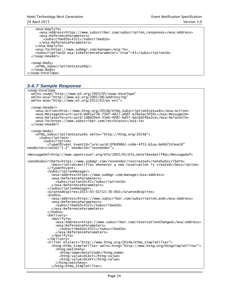```
 <wsa:ReplyTo>
       <wsa:Address>https://www.subscriber.com/subscription_responses</wsa:Address>
       <wsa:ReferenceParameters>
         <SubscribedID>4321</SubscribedID>
       </wsa:ReferenceParameters>
     </wsa:ReplyTo>
     <wsa:To>https://www.submgr.com/manage</wsa:To>
     <SubscriptionID wsa:IsReferenceParameter="true">41</SubscriptionID>
   </soap:Header>
   <soap:Body>
    <HTNG_SubscriptionStatusRQ/>
   </soap:Body>
</soap:Envelope>
```
## <span id="page-23-0"></span>*3.6.7 Sample Response*

```
<soap:Envelope
   xmlns:soap="http://www.w3.org/2003/05/soap-envelope"
 xmlns:wsa="http://www.w3.org/2005/08/addressing"
 xmlns:wse="http://www.w3.org/2011/03/ws-evt">
   <soap:Header>
     <wsa:Action>http://www.htng.org/2014B/HTNG_SubscriptionStatusRS</wsa:Action>
     <wsa:MessageID>urn:uuid:dd41a736-756f-4827-a0d7-e39a4ac5050c</wsa:MessageID>
     <wsa:RelatesTo>urn:uuid:1d8d20e4-33eb-4087-bd57-6ec6d24ba3ce</wsa:RelatesTo>
     <wsa:To>https://www.subscriber.com/recvStatus</wsa:To>
   </soap:Header>
   <soap:Body>
     <HTNG_SubscriptionStatusRS xmlns="http://htng.org/2014B">
       <Subscriptions>
         <Subscription>
           <TypeOfEvent EventID="urn:uuid:0fb99862-ce8e-4f51-b1aa-bd467243ee2d"
VendorVersionID="1.2" VendorID="resVendor">
<MessageDef>http://www.opentravel.org/OTA/2003/05/OTA_HotelResNotifRQ</MessageDef>
<SendSubscribeTo>https://www.submgr.com/resVendor/resCreated</SendSubscribeTo>
             <Description>Notifies whenever a new reservation is created</Description>
           </TypeOfEvent>
           <SubscriptionManager>
             <wsa:Address>https://www.submgr.com/manage</wsa:Address>
             <wsa:ReferenceParameters>
               <SubscriptionID>41</SubscriptionID>
             </wsa:ReferenceParameters>
           </SubscriptionManager>
           <GrantedExpires>2015-03-01T13:30:00Z</GrantedExpires>
           <Endto>
             <wsa:Address>https://www.subscriber.com/subscription_end</wsa:Address>
             <wsa:ReferenceParameters>
               <SubscribedID>4321</SubscribedID>
             </wsa:ReferenceParameters>
           </Endto>
           <Delivery>
             <NotifyTo>
               <wsa:Address>https://www.subscriber.com/reservationChanged</wsa:Address>
               <wsa:ReferenceParameters>
                 <SubscribedID>4321</SubscribedID>
               </wsa:ReferenceParameters>
             </NotifyTo>
           </Delivery>
           <Filter Dialect="http://www.htng.org/2014B/HTNG_SimpleFilter">
             <htng:HTNG_SimpleFilter xmlns:htng="http://www.htng.org/htngSimpleFilter">
               <htng:matchAny>
                 <htng:name>HotelCode</htng:name>
                <htng:value>DCACY</htng:value>
                 <htng:value>DCAFF</htng:value>
               </htng:matchAny>
             </htng:HTNG_SimpleFilter>
```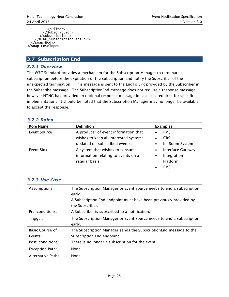</Filter> </Subscription> </Subscriptions> </HTNG\_SubscriptionStatusRS> </soap:Body> </soap:Envelope>

## <span id="page-24-0"></span>**3.7 Subscription End**

#### <span id="page-24-1"></span>*3.7.1 Overview*

The W3C Standard provides a mechanism for the Subscription Manager to terminate a subscription before the expiration of the subscription and notify the Subscriber of the unexpected termination. This message is sent to the EndTo EPR provided by the Subscriber in the Subscribe message. The SubscriptionEnd message does not require a response message, however HTNG has provided an optional response message in case it is required for specific implementations. It should be noted that the Subscription Manager may no longer be available to accept the response.

#### <span id="page-24-2"></span>*3.7.2 Roles*

| <b>Role Name</b>    | <b>Definition</b>                     | <b>Examples</b>          |  |
|---------------------|---------------------------------------|--------------------------|--|
| <b>Event Source</b> | A producer of event information that  | <b>PMS</b>               |  |
|                     | wishes to keep all interested systems | <b>CRS</b>               |  |
|                     | updated on subscribed events.         | In-Room System           |  |
| Event Sink          | A system that wishes to consume       | <b>Interface Gateway</b> |  |
|                     | information relating to events on a   | Integration              |  |
|                     | regular basis.                        | Platform                 |  |
|                     |                                       | <b>PMS</b>               |  |

#### <span id="page-24-3"></span>*3.7.3 Use Case*

| Assumptions:           | The Subscription Manager or Event Source needs to end a subscription<br>early. |  |
|------------------------|--------------------------------------------------------------------------------|--|
|                        | A Subscription End endpoint must have been previously provided by              |  |
|                        | the Subscriber.                                                                |  |
| Pre-conditions:        | A Subscriber is subscribed to a notification.                                  |  |
| Trigger:               | The Subscription Manager or Event Source needs to end a subscription           |  |
|                        | early.                                                                         |  |
| <b>Basic Course of</b> | The Subscription Manager sends the Subscription End message to the             |  |
| Events:                | Subscription End endpoint.                                                     |  |
| Post-conditions:       | There is no longer a subscription for the event.                               |  |
| <b>Exception Path:</b> | None                                                                           |  |
| Alternative Paths:     | None                                                                           |  |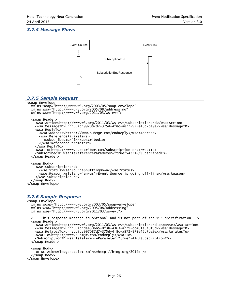#### <span id="page-25-0"></span>*3.7.4 Message Flows*



#### <span id="page-25-1"></span>*3.7.5 Sample Request*

```
<soap:Envelope
  xmlns:soap="http://www.w3.org/2003/05/soap-envelope"
 xmlns:wsa="http://www.w3.org/2005/08/addressing"
 xmlns:wse="http://www.w3.org/2011/03/ws-evt">
   <soap:Header>
 <wsa:Action>http://www.w3.org/2011/03/ws-evt/SubscriptionEnd</wsa:Action>
 <wsa:MessageID>urn:uuid:997087d7-375d-4f8c-a872-972e46c7ba9a</wsa:MessageID>
     <wsa:ReplyTo>
       <wsa:Address>https://www.submgr.com/endReply</wsa:Address>
       <wsa:ReferenceParameters>
         <SubscribedID>41</SubscribedID>
       </wsa:ReferenceParameters>
     </wsa:ReplyTo>
     <wsa:To>https://www.subscriber.com/subscription_end</wsa:To>
     <SubscribedID wsa:IsReferenceParameter="true">4321</SubscribedID>
   </soap:Header>
  <soap:Body>
     <wse:SubscriptionEnd>
       <wse:Status>wse:SourceShuttingDown</wse:Status>
       <wse:Reason xml:lang="en-us">Event Source is going off-line</wse:Reason>
     </wse:SubscriptionEnd>
   </soap:Body>
</soap:Envelope>
```
# <span id="page-25-2"></span>*3.7.6 Sample Response*

```
<soap:Envelope
 xmlns:soap="http://www.w3.org/2003/05/soap-envelope"
 xmlns:wsa="http://www.w3.org/2005/08/addressing"
 xmlns:wse="http://www.w3.org/2011/03/ws-evt">
  <!-- This response message is optional and is not part of the W3C specification -->
  <soap:Header>
    <wsa:Action>http://www.w3.org/2011/03/ws-evt/SubscriptionEndResponse</wsa:Action>
 <wsa:MessageID>urn:uuid:dae306b5-0f3b-4363-a279-cc401e3a0f5d</wsa:MessageID>
 <wsa:RelatesTo>urn:uuid:997087d7-375d-4f8c-a872-972e46c7ba9a</wsa:RelatesTo>
     <wsa:To>https://www.submgr.com/endReply</wsa:To>
     <SubscriptionID wsa:IsReferenceParameter="true">41</SubscriptionID>
  </soap:Header>
   <soap:Body>
     <HTNG_AcknowledgeReceipt xmlns=http://htng.org/2014B />
   </soap:Body>
</soap:Envelope>
```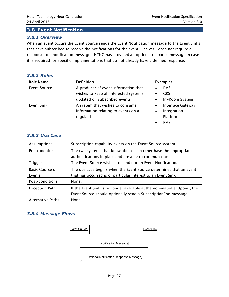#### <span id="page-26-0"></span>**3.8 Event Notification**

#### <span id="page-26-1"></span>*3.8.1 Overview*

When an event occurs the Event Source sends the Event Notification message to the Event Sinks that have subscribed to receive the notifications for the event. The W3C does not require a response to a notification message. HTNG has provided an optional response message in case it is required for specific implementations that do not already have a defined response.

#### <span id="page-26-2"></span>*3.8.2 Roles*

| <b>Role Name</b>    | <b>Definition</b>                     | <b>Examples</b>          |  |
|---------------------|---------------------------------------|--------------------------|--|
| <b>Event Source</b> | A producer of event information that  | <b>PMS</b>               |  |
|                     | wishes to keep all interested systems | <b>CRS</b>               |  |
|                     | updated on subscribed events.         | In-Room System           |  |
| Event Sink          | A system that wishes to consume       | <b>Interface Gateway</b> |  |
|                     | information relating to events on a   | Integration<br>٠         |  |
|                     | regular basis.                        | Platform                 |  |
|                     |                                       | <b>PMS</b>               |  |

#### <span id="page-26-3"></span>*3.8.3 Use Case*

| Assumptions:           | Subscription capability exists on the Event Source system.              |
|------------------------|-------------------------------------------------------------------------|
| Pre-conditions:        | The two systems that know about each other have the appropriate         |
|                        | authentications in place and are able to communicate.                   |
| Trigger:               | The Event Source wishes to send out an Event Notification.              |
| <b>Basic Course of</b> | The use case begins when the Event Source determines that an event      |
| Events:                | that has occurred is of particular interest to an Event Sink.           |
| Post-conditions:       | None.                                                                   |
| Exception Path:        | If the Event Sink is no longer available at the nominated endpoint, the |
|                        | Event Source should optionally send a SubscriptionEnd message.          |
| Alternative Paths:     | None.                                                                   |

#### <span id="page-26-4"></span>*3.8.4 Message Flows*

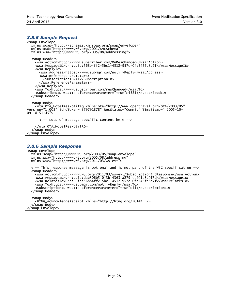#### <span id="page-27-0"></span>*3.8.5 Sample Request*

```
<soap:Envelope
 xmlns:soap="http://schemas.xmlsoap.org/soap/envelope/"
 xmlns:xsd="http://www.w3.org/2001/XMLSchema"
 xmlns:wsa="http://www.w3.org/2005/08/addressing">
   <soap:Header>
     <wsa:Action>http://www.subscriber.com/OnResChanged</wsa:Action>
     <wsa:MessageID>urn:uuid:568b4ff2-5bc1-4512-957c-0fa545fd8d7f</wsa:MessageID>
     <wsa:ReplyTo>
       <wsa:Address>https://www.submgr.com/notifyReply</wsa:Address>
       <wsa:ReferenceParameters>
         <SubscriptionID>41</SubscriptionID>
       </wsa:ReferenceParameters>
     </wsa:ReplyTo>
     <wsa:To>https://www.subscriber.com/resChanged</wsa:To>
     <SubscribedID wsa:IsReferenceParameter="true">4321</SubscribedID>
   </soap:Header>
   <soap:Body>
     <ota:OTA_HotelResNotifRQ xmlns:ota="http://www.opentravel.org/OTA/2003/05"
Version="1.003" EchoToken="879791878" ResStatus="Commit" TimeStamp=" 2005-10-
09T18:51:45">
       <!-- Lots of message specific content here -->
     </ota:OTA_HotelResNotifRQ>
   </soap:Body>
</soap:Envelope>
```
#### <span id="page-27-1"></span>*3.8.6 Sample Response*

```
<soap:Envelope
 xmlns:soap="http://www.w3.org/2003/05/soap-envelope"
 xmlns:wsa="http://www.w3.org/2005/08/addressing"
  xmlns:wse="http://www.w3.org/2011/03/ws-evt">
  <!-- This response message is optional and is not part of the W3C specification -->
  <soap:Header>
 <wsa:Action>http://www.w3.org/2011/03/ws-evt/SubscriptionEndResponse</wsa:Action>
 <wsa:MessageID>urn:uuid:dae306b5-0f3b-4363-a279-cc401e3a0f5d</wsa:MessageID>
     <wsa:RelatesTo>urn:uuid:568b4ff2-5bc1-4512-957c-0fa545fd8d7f</wsa:RelatesTo>
 <wsa:To>https://www.submgr.com/notifyReply</wsa:To>
 <SubscriptionID wsa:IsReferenceParameter="true">41</SubscriptionID>
  </soap:Header>
  <soap:Body>
    <HTNG_AcknowledgeReceipt xmlns="http://htng.org/2014B" />
   </soap:Body>
</soap:Envelope>
```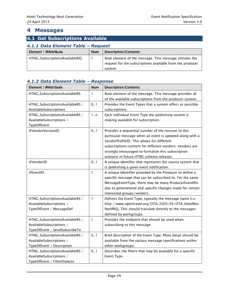# <span id="page-28-0"></span>**4 Messages**

# <span id="page-28-2"></span><span id="page-28-1"></span>**4.1 Get Subscriptions Available** *4.1.1 Data Element Table – Request* Element | @Attribute Num Description/Contents

| Element   @Attribute          | Num | Description/Contents                                      |
|-------------------------------|-----|-----------------------------------------------------------|
| HTNG_SubscriptionsAvailableRQ |     | Root element of the message. This message initiates the   |
|                               |     | request for the subscriptions available from the producer |
|                               |     | system.                                                   |

| Element   @Attribute            | <b>Num</b>   | <b>Description/Contents</b>                                |
|---------------------------------|--------------|------------------------------------------------------------|
| HTNG_SubscriptionsAvailableRS   | $\mathbf{1}$ | Root element of the message. This message provides all     |
|                                 |              | of the available subscriptions from the producer system.   |
| HTNG_SubscriptionsAvailableRS / | 0.1          | Provides the Event Types that a system offers as possible  |
| AvailableSubscriptions          |              | subscriptions                                              |
| HTNG_SubscriptionsAvailableRS / | 1n           | Each individual Event Type the publishing system is        |
| AvailableSubscriptions /        |              | making available for subscription.                         |
| TypeOfEvent                     |              |                                                            |
| @VendorVersionID                | 0.1          | Provides a sequential number of the revision to this       |
|                                 |              | particular message when an event is updated along with a   |
|                                 |              | VendorProfileID. This allows for different                 |
|                                 |              | subscriptions/content for different vendors. Vendors are   |
|                                 |              | strongly encouraged to formalize this subscription         |
|                                 |              | scenario in future HTNG schema releases.                   |
| @VendorID                       | 0.1          | A unique identifier that represents the source system that |
|                                 |              | is publishing a given event notification.                  |
| @EventID                        | $\mathbf{1}$ | A unique Identifier provided by the Producer to define a   |
|                                 |              | specific message that can be subscribed to. For the same   |
|                                 |              | MessageEventType, there may be many ProducerEventIDs       |
|                                 |              | due to generational and specific changes made for certain  |
|                                 |              | interested groups/vendors.                                 |
| HTNG_SubscriptionsAvailableRS / | $\mathbf{1}$ | Defines the Event Type, typically the message name (i.e.   |
| AvailableSubscriptions /        |              | http://www.opentravel.org/OTA/2003/05/OTA_HotelRes         |
| TypeOfEvent / MessageDef        |              | NotifRQ). This should translate directly to the messages   |
|                                 |              | defined by workgroups.                                     |
| HTNG_SubscriptionsAvailableRS / | $\mathbf{1}$ | Provides the endpoint that should be used when             |
| AvailableSubscriptions /        |              | subscribing to this message.                               |
| TypeOfEvent / SendSubscribeTo   |              |                                                            |
| HTNG_SubscriptionsAvailableRS / | 0.1          | Brief description of the Event Type. More detail should be |
| AvailableSubscriptions /        |              | available from the various message specifications within   |
| TypeOfEvent / Description       |              | other workgroups.                                          |
| HTNG_SubscriptionsAvailableRS / | 0.1          | Describes the filters that may be available for a specific |
| AvailableSubscriptions /        |              | Event Type.                                                |
| TypeOfEvent / FilterDialects    |              |                                                            |

# <span id="page-28-3"></span>*4.1.2 Data Element Table – Response*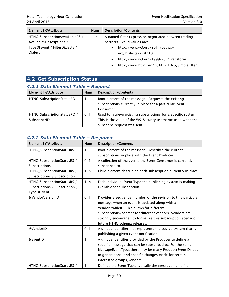| Element   @Attribute            | <b>Num</b> | <b>Description/Contents</b>                              |
|---------------------------------|------------|----------------------------------------------------------|
| HTNG_SubscriptionsAvailableRS / | 1n         | A named filter expression negotiated between trading     |
| AvailableSubscriptions /        |            | partners. Valid values are:                              |
| TypeOfEvent / FilterDialects /  |            | http://www.w3.org/2011/03/ws-<br>$\bullet$               |
| <b>Dialect</b>                  |            | evt/Dialects/XPath10                                     |
|                                 |            | http://www.w3.org/1999/XSL/Transform<br>$\bullet$        |
|                                 |            | http://www.htng.org/2014B/HTNG_SimpleFilter<br>$\bullet$ |

<span id="page-29-0"></span>

| <b>4.2 Get Subscription Status</b> |  |
|------------------------------------|--|
|------------------------------------|--|

| <i><b>T.L.I Data Liement Table - Request</b></i> |            |                                                                                                                                                              |
|--------------------------------------------------|------------|--------------------------------------------------------------------------------------------------------------------------------------------------------------|
| Element   @Attribute                             | <b>Num</b> | <b>Description/Contents</b>                                                                                                                                  |
| HTNG_SubscriptionStatusRQ                        |            | Root element of the message. Requests the existing<br>subscriptions currently in place for a particular Event<br>Consumer.                                   |
| HTNG_SubscriptionStatusRQ /<br>SubscriberID      | 0.1        | Used to retrieve existing subscriptions for a specific system.<br>This is the value of the WS-Security username used when the<br>Subscribe request was sent. |

#### <span id="page-29-1"></span>*4.2.1 Data Element Table – Request*

# <span id="page-29-2"></span>*4.2.2 Data Element Table – Response*

| Element   @Attribute           | <b>Num</b> | <b>Description/Contents</b>                                     |
|--------------------------------|------------|-----------------------------------------------------------------|
| HTNG_SubscriptionStatusRS      | 1          | Root element of the message. Describes the current              |
|                                |            | subscriptions in place with the Event Producer.                 |
| HTNG_SubscriptionStatusRS /    | 0.1        | A collection of the events the Event Consumer is currently      |
| Subscriptions                  |            | subscribed to.                                                  |
| HTNG_SubscriptionStatusRS /    | 1n         | Child element describing each subscription currently in place.  |
| Subscriptions / Subscription   |            |                                                                 |
| HTNG_SubscriptionStatusRS /    | 1n         | Each individual Event Type the publishing system is making      |
| Subscriptions / Subscription / |            | available for subscription.                                     |
| TypeOfEvent                    |            |                                                                 |
| @VendorVersionID               | 0.1        | Provides a sequential number of the revision to this particular |
|                                |            | message when an event is updated along with a                   |
|                                |            | VendorProfileID. This allows for different                      |
|                                |            | subscriptions/content for different vendors. Vendors are        |
|                                |            | strongly encouraged to formalize this subscription scenario in  |
|                                |            | future HTNG schema releases.                                    |
| @VendorID                      | 0.1        | A unique identifier that represents the source system that is   |
|                                |            | publishing a given event notification.                          |
| @EventID                       | 1          | A unique Identifier provided by the Producer to define a        |
|                                |            | specific message that can be subscribed to. For the same        |
|                                |            | MessageEventType, there may be many ProducerEventIDs due        |
|                                |            | to generational and specific changes made for certain           |
|                                |            | interested groups/vendors.                                      |
| HTNG_SubscriptionStatusRS /    | 1          | Defines the Event Type, typically the message name (i.e.        |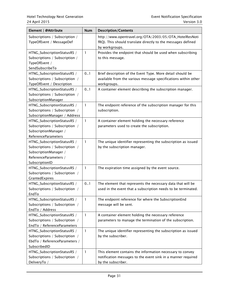| Element   @Attribute                                                                                                              | <b>Num</b>   | <b>Description/Contents</b>                                                                                                                     |
|-----------------------------------------------------------------------------------------------------------------------------------|--------------|-------------------------------------------------------------------------------------------------------------------------------------------------|
| Subscriptions / Subscription /<br>TypeOfEvent / MessageDef                                                                        |              | http://www.opentravel.org/OTA/2003/05/OTA_HotelResNoti<br>fRQ). This should translate directly to the messages defined<br>by workgroups.        |
| HTNG_SubscriptionStatusRS /<br>Subscriptions / Subscription /<br>TypeOfEvent /<br>SendSubscribeTo                                 | $\mathbf{1}$ | Provides the endpoint that should be used when subscribing<br>to this message.                                                                  |
| HTNG_SubscriptionStatusRS /<br>Subscriptions / Subscription /<br>TypeOfEvent / Description                                        | 0.1          | Brief description of the Event Type. More detail should be<br>available from the various message specifications within other<br>workgroups.     |
| HTNG_SubscriptionStatusRS /<br>Subscriptions / Subscription /<br>SubscriptionManager                                              | 0.1          | A container element describing the subscription manager.                                                                                        |
| HTNG_SubscriptionStatusRS /<br>Subscriptions / Subscription /<br>SubscriptionManager / Address                                    | $\mathbf{1}$ | The endpoint reference of the subscription manager for this<br>subscription.                                                                    |
| HTNG_SubscriptionStatusRS /<br>Subscriptions / Subscription /<br>SubscriptionManager /<br>ReferenceParameters                     | 1            | A container element holding the necessary reference<br>parameters used to create the subscription.                                              |
| HTNG_SubscriptionStatusRS /<br>Subscriptions / Subscription /<br>SubscriptionManager /<br>ReferenceParameters /<br>SubscriptionID | $\mathbf{1}$ | The unique identifier representing the subscription as issued<br>by the subscription manager.                                                   |
| HTNG_SubscriptionStatusRS /<br>Subscriptions / Subscription /<br>GrantedExpires                                                   | 1            | The expiration time assigned by the event source.                                                                                               |
| HTNG_SubscriptionStatusRS /<br>Subscriptions / Subscription /<br>EndTo                                                            | 0.1          | The element that represents the necessary data that will be<br>used in the event that a subscription needs to be terminated.                    |
| HTNG_SubscriptionStatusRS /<br>Subscriptions / Subscription /<br>EndTo / Address                                                  | $\mathbf{1}$ | The endpoint reference for where the SubscriptionEnd<br>message will be sent.                                                                   |
| HTNG_SubscriptionStatusRS /<br>Subscriptions / Subscription /<br>EndTo / ReferenceParameters                                      | 1            | A container element holding the necessary reference<br>parameters to manage the termination of the subscription.                                |
| HTNG_SubscriptionStatusRS /<br>Subscriptions / Subscription /<br>EbdTo / ReferenceParameters /<br>SubscribedID                    | $\mathbf{1}$ | The unique identifier representing the subscription as issued<br>by the subscriber.                                                             |
| HTNG_SubscriptionStatusRS /<br>Subscriptions / Subscription /<br>DeliveryTo /                                                     | $\mathbf{1}$ | This element contains the information necessary to convey<br>notification messages to the event sink in a manner required<br>by the subscriber. |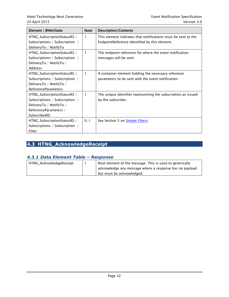| Element   @Attribute                                                                                                              | Num | <b>Description/Contents</b>                                                                                    |
|-----------------------------------------------------------------------------------------------------------------------------------|-----|----------------------------------------------------------------------------------------------------------------|
| HTNG_SubscriptionStatusRS /<br>Subscriptions / Subscription /                                                                     | 1   | This element indicates that notifications must be sent to the<br>EndpointReference identified by this element. |
| DeliveryTo / NotifyTo<br>HTNG_SubscriptionStatusRS /<br>Subscriptions / Subscription /<br>DeliveryTo / NotifyTo /<br>Address      | 1   | The endpoint reference for where the event notification<br>messages will be sent.                              |
| HTNG_SubscriptionStatusRS /<br>Subscriptions / Subscription /<br>DeliveryTo / NotifyTo /<br><b>ReferenceParameters</b>            | 1   | A container element holding the necessary reference<br>parameters to be sent with the event notification.      |
| HTNG_SubscriptionStatusRS /<br>Subscriptions / Subscription /<br>DeliveryTo / NotifyTo /<br>ReferenceParameters /<br>SubscribedID | 1   | The unique identifier representing the subscription as issued<br>by the subscriber.                            |
| HTNG_SubscriptionStatusRS /<br>Subscriptions / Subscription /<br>Filter                                                           | 0.1 | See Section 5 on <b>Simple Filters</b>                                                                         |

# <span id="page-31-0"></span>**4.3 HTNG\_AcknowledgeReceipt**

# <span id="page-31-1"></span>*4.3.1 Data Element Table – Response*

| HTNG_AcknowledgeReceipt | Root element of the message. This is used to generically |
|-------------------------|----------------------------------------------------------|
|                         | acknowledge any message where a response has no payload  |
|                         | but must be acknowledged.                                |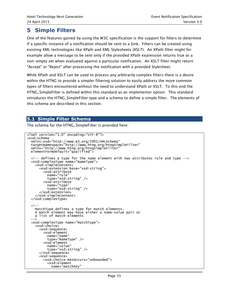# <span id="page-32-0"></span>**5 Simple Filters**

One of the features gained by using the W3C specification is the support for filters to determine if a specific instance of a notification should be sent to a Sink. Filters can be created using existing XML technologies like XPath and XML Stylesheets (XSLT). An XPath filter might for example allow a message to be sent only if the provided XPath expression returns true or a non-empty set when evaluated against a particular notification. An XSLT filter might return "Accept" or "Reject" after processing the notification with a provided Stylesheet.

While XPath and XSLT can be used to process any arbitrarily complex filters there is a desire within the HTNG to provide a simpler filtering solution to easily address the more common types of filters encountered without the need to understand XPath or XSLT. To this end the HTNG\_SimpleFilter is defined within this standard as an implementer option. This standard introduces the HTNG\_SimpleFilter type and a schema to define a simple filter. The elements of this schema are described in this section.

# <span id="page-32-1"></span>**5.1 Simple Filter Schema**

The schema for the HTNG\_SimpleFilter is provided here:

```
<?xml version="1.0" encoding="UTF-8"?>
<xsd:schema
 xmlns:xsd="http://www.w3.org/2001/XMLSchema"
 targetNamespace="http://www.htng.org/htngSimpleFilter"
  xmlns="http://www.htng.org/htngSimpleFilter"
 elementFormDefault="qualified">
   <!-- defines a type for the name element with two attributes rule and type -->
   <xsd:complexType name="NameType">
     <xsd:simpleContent>
       <xsd:extension base="xsd:string">
         <xsd:attribute
           name="rule"
           type="xsd:string" />
         <xsd:attribute
          name="type"
           type="xsd:string" />
       </xsd:extension>
     </xsd:simpleContent>
   </xsd:complexType>
  <!-- MatchType defines a type for match elements. 
    A match element may have either a name-value pair or
    a list of match elements 
 -->
   <xsd:complexType name="MatchType">
     <xsd:choice>
       <xsd:sequence>
         <xsd:element
 name="name"
 type="NameType" />
         <xsd:element
           name="value"
           type="xsd:string" />
       </xsd:sequence>
       <xsd:sequence>
         <xsd:choice maxOccurs="unbounded">
           <xsd:element
             name="matchAny"
```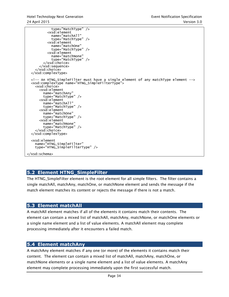```
 type="MatchType" />
          <xsd:element
 name="matchAll"
 type="MatchType" />
          <xsd:element
 name="matchOne"
 type="MatchType" />
          <xsd:element
            name="matchNone"
            type="MatchType" />
        </xsd:choice>
      </xsd:sequence>
    </xsd:choice>
  </xsd:complexType>
  <!-- An HTNG_SimpleFilter must have a single element of any matchType element -->
   <xsd:complexType name="HTNG_SimpleFilterType">
    <xsd:choice>
      <xsd:element
 name="matchAny"
 type="MatchType" />
      <xsd:element
        name="matchAll"
        type="MatchType" />
      <xsd:element
        name="matchOne"
        type="MatchType" />
      <xsd:element
        name="matchNone"
        type="MatchType" />
     </xsd:choice>
  </xsd:complexType>
  <xsd:element
    name="HTNG_SimpleFilter"
    type="HTNG_SimpleFilterType" />
</xsd:schema>
```
# <span id="page-33-0"></span>**5.2 Element HTNG\_SimpleFilter**

The HTNG\_SimpleFilter element is the root element for all simple filters. The filter contains a single matchAll, matchAny, matchOne, or matchNone element and sends the message if the match element matches its content or rejects the message if there is not a match.

#### <span id="page-33-1"></span>**5.3 Element matchAll**

A matchAll element matches if all of the elements it contains match their contents. The element can contain a mixed list of matchAll, matchAny, matchNone, or matchOne elements or a single name element and a list of value elements. A matchAll element may complete processing immediately after it encounters a failed match.

#### <span id="page-33-2"></span>**5.4 Element matchAny**

A matchAny element matches if any one (or more) of the elements it contains match their content. The element can contain a mixed list of matchAll, matchAny, matchOne, or matchNone elements or a single name element and a list of value elements. A matchAny element may complete processing immediately upon the first successful match.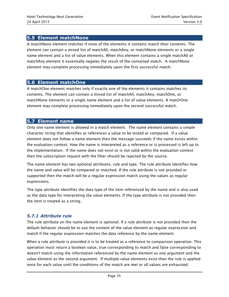## <span id="page-34-0"></span>**5.5 Element matchNone**

A matchNone element matches if none of the elements it contains match their contents. The element can contain a mixed list of matchAll, matchAny, or matchNone elements or a single name element and a list of value elements. When this element contains a single matchAll or matchAny element it essentially negates the result of the contained match. A matchNone element may complete processing immediately upon the first successful match.

#### <span id="page-34-1"></span>**5.6 Element matchOne**

A matchOne element matches only if exactly one of the elements it contains matches its contents. The element can contain a mixed list of matchAll, matchAny, matchOne, or matchNone elements or a single name element and a list of value elements. A matchOne element may complete processing immediately upon the second successful match.

#### <span id="page-34-2"></span>**5.7 Element name**

Only one name element is allowed in a match element. The name element contains a simple character string that identifies or references a value to be tested or compared. If a value element does not follow a name element then the message succeeds if the name exists within the evaluation context. How the name is interpreted as a reference or is processed is left up to the implementation. If the name does not exist or is not valid within the evaluation context then the subscription request with the filter should be rejected by the source.

The name element has two optional attributes; rule and type. The rule attribute identifies how the name and value will be compared or matched. If the rule attribute is not provided or supported then the match will be a regular expression match using the values as regular expressions.

The type attribute identifies the data type of the item referenced by the name and is also used as the data type for interpreting the value elements. If the type attribute is not provided then the item is treated as a string.

#### <span id="page-34-3"></span>*5.7.1 Attribute rule*

The rule attribute on the name element is optional. If a rule attribute is not provided then the default behavior should be to use the content of the value element as regular expression and match if the regular expression matches the data reference by the name element.

When a rule attribute is provided it is to be treated as a reference to comparison operation. This operation must return a boolean value, true corresponding to match and false corresponding to doesn't match using the information referenced by the name element as one argument and the value element as the second argument. If multiple value elements exist then the rule is applied once for each value until the conditions of the match are met or all values are exhausted.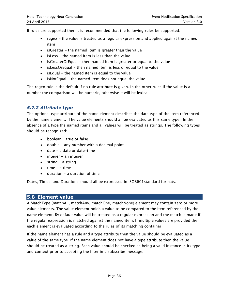If rules are supported then it is recommended that the following rules be supported:

- regex the value is treated as a regular expression and applied against the named item
- $\bullet$  isGreater the named item is greater than the value
- isLess the named item is less than the value
- isGreaterOrEqual then named item is greater or equal to the value
- $\bullet$  isLessOrEqual then named item is less or equal to the value
- $\bullet$  isEqual the named item is equal to the value
- $\bullet$  isNotEqual the named item does not equal the value

The regex rule is the default if no rule attribute is given. In the other rules if the value is a number the comparison will be numeric, otherwise it will be lexical.

#### <span id="page-35-0"></span>*5.7.2 Attribute type*

The optional type attribute of the name element describes the data type of the item referenced by the name element. The value elements should all be evaluated as this same type. In the absence of a type the named items and all values will be treated as strings. The following types should be recognized:

- boolean true or false
- $\bullet$  double any number with a decimal point
- date a date or date-time
- $\bullet$  integer an integer
- $\bullet$  string a string
- $\bullet$  time a time
- $\bullet$  duration a duration of time

Dates, Times, and Durations should all be expressed in ISO8601standard formats.

#### <span id="page-35-1"></span>**5.8 Element value**

A MatchType (matchAll, matchAny, matchOne, matchNone) element may contain zero or more value elements. The value element holds a value to be compared to the item referenced by the name element. By default value will be treated as a regular expression and the match is made if the regular expression is matched against the named item. If multiple values are provided then each element is evaluated according to the rules of its matching container.

If the name element has a rule and a type attribute then the value should be evaluated as a value of the same type. If the name element does not have a type attribute then the value should be treated as a string. Each value should be checked as being a valid instance in its type and context prior to accepting the filter in a subscribe message.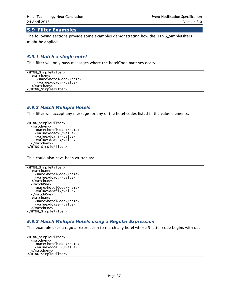#### <span id="page-36-0"></span>**5.9 Filter Examples**

The following sections provide some examples demonstrating how the HTNG\_SimpleFilters might be applied.

#### <span id="page-36-1"></span>*5.9.1 Match a single hotel*

This filter will only pass messages where the hotelCode matches dcacy;

<HTNG\_SimpleFilter> <matchAny> <name>hotelCode</name> <value>dcacy</value> </matchAny> </HTNG\_SimpleFilter>

#### <span id="page-36-2"></span>*5.9.2 Match Multiple Hotels*

This filter will accept any message for any of the hotel codes listed in the value elements.

```
<HTNG_SimpleFilter>
   <matchAny>
     <name>hotelCode</name>
     <value>dcacy</value>
     <value>dcafi</value>
     <value>dcass</value>
   </matchAny>
</HTNG_SimpleFilter>
```
This could also have been written as:

```
<HTNG_SimpleFilter>
   <matchOne>
     <name>hotelCode</name>
     <value>dcacy</value>
  </matchOne>
   <matchOne>
     <name>hotelCode</name>
     <value>dcafi</value>
   </matchOne>
   <matchOne>
     <name>hotelCode</name>
     <value>dcass</value>
   </matchOne>
</HTNG_SimpleFilter>
```
#### <span id="page-36-3"></span>*5.9.3 Match Multiple Hotels using a Regular Expression*

This example uses a regular expression to match any hotel whose 5 letter code begins with dca.

```
<HTNG_SimpleFilter>
  <matchAny>
     <name>hotelCode</name>
     <value>^dca..</value>
   </matchAny>
</HTNG_SimpleFilter>
```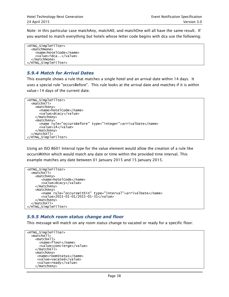Note: in this particular case matchAny, matchAll, and matchOne will all have the same result. If you wanted to match everything but hotels whose letter code begins with dca use the following;

```
<HTNG_SimpleFilter>
   <matchNone>
     <name>hotelCode</name>
     <value>^dca..</value>
   </matchNone>
</HTNG_SimpleFilter>
```
#### <span id="page-37-0"></span>*5.9.4 Match for Arrival Dates*

This example shows a rule that matches a single hotel and an arrival date within 14 days. It uses a special rule "occursBefore". This rule looks at the arrival date and matches if it is within value=14 days of the current date.

```
<HTNG_SimpleFilter>
   <matchAll>
     <matchAny>
       <name>hotelCode</name>
       <value>dcacy</value>
     </matchAny>
     <matchAny>
       <name rule="occursBefore" type="integer">arrivalDate</name>
       <value>14</value>
     </matchAny>
   </matchAll>
</HTNG_SimpleFilter>
```
Using an ISO 8601 Interval type for the value element would allow the creation of a rule like occursWithin which would match any date or time within the provided time interval. This example matches any date between 01 January 2015 and 15 January 2015.

```
<HTNG_SimpleFilter>
   <matchAll>
     <matchAny>
        <name>hotelCode</name>
        <value>dcacy</value>
     </matchAny>
     <matchAny>
        <name rule="occursWithin" type="interval">arrivalDate</name>
        <value>2015-01-01/2015-01-31</value>
     </matchAny>
   </matchAll>
</HTNG_SimpleFilter>
```
#### <span id="page-37-1"></span>*5.9.5 Match room status change and floor*

This message will match on any room status change to vacated or ready for a specific floor:

```
<HTNG_SimpleFilter>
   <matchAll>
     <matchAll>
       <name>floor</name>
       <value>concierge</value>
     </matchAll>
     <matchAny>
      <name>roomStatus</name>
      <value>vacated</value>
      <value>ready</value>
     </matchAny>
```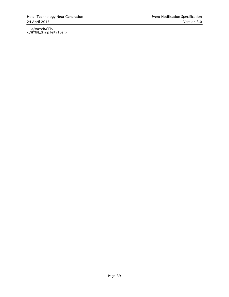</matchAll> </HTNG\_SimpleFilter>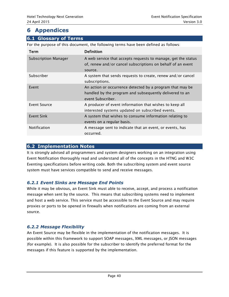# <span id="page-39-0"></span>**6 Appendices**

# <span id="page-39-1"></span>**6.1 Glossary of Terms**

For the purpose of this document, the following terms have been defined as follows:

| Term                        | Definition                                                                                                                                |
|-----------------------------|-------------------------------------------------------------------------------------------------------------------------------------------|
| <b>Subscription Manager</b> | A web service that accepts requests to manage, get the status<br>of, renew and/or cancel subscriptions on behalf of an event<br>source.   |
| Subscriber                  | A system that sends requests to create, renew and/or cancel<br>subscriptions.                                                             |
| Event                       | An action or occurrence detected by a program that may be<br>handled by the program and subsequently delivered to an<br>event Subscriber. |
| Event Source                | A producer of event information that wishes to keep all<br>interested systems updated on subscribed events.                               |
| Event Sink                  | A system that wishes to consume information relating to<br>events on a regular basis.                                                     |
| <b>Notification</b>         | A message sent to indicate that an event, or events, has<br>occurred.                                                                     |

## <span id="page-39-2"></span>**6.2 Implementation Notes**

It is strongly advised all programmers and system designers working on an integration using Event Notification thoroughly read and understand all of the concepts in the HTNG and W3C Eventing specifications before writing code. Both the subscribing system and event source system must have services compatible to send and receive messages.

# <span id="page-39-3"></span>*6.2.1 Event Sinks are Message End Points*

While it may be obvious, an Event Sink must able to receive, accept, and process a notification message when sent by the source. This means that subscribing systems need to implement and host a web service. This service must be accessible to the Event Source and may require proxies or ports to be opened in firewalls when notifications are coming from an external source.

# <span id="page-39-4"></span>*6.2.2 Message Flexibility*

An Event Source may be flexible in the implementation of the notification messages. It is possible within this framework to support SOAP messages, XML messages, or JSON messages )for example). It is also possible for the subscriber to identify the preferred format for the messages if this feature is supported by the implementation.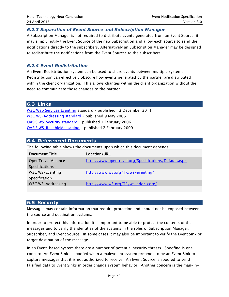#### <span id="page-40-0"></span>*6.2.3 Separation of Event Source and Subscription Manager*

A Subscription Manager is not required to distribute events generated from an Event Source; it may simply notify the Event Source of the new Subscription and allow each source to send the notifications directly to the subscribers. Alternatively an Subscription Manager may be designed to redistribute the notifications from the Event Sources to the subscribers.

#### <span id="page-40-1"></span>*6.2.4 Event Redistribution*

An Event Redistribution system can be used to share events between multiple systems. Redistribution can effectively obscure how events generated by the partner are distributed within the client organization. This allows changes within the client organization without the need to communicate those changes to the partner.

#### <span id="page-40-2"></span>**6.3 Links**

[W3C Web Services Eventing](http://www.w3.org/TR/ws-eventing/) standard – published 13 December 2011 [W3C WS-Addressing standard](http://www.w3.org/TR/ws-addr-core/) - published 9 May 2006 [OASIS WS-Security standard](https://www.oasis-open.org/committees/download.php/16790/wss-v1.1-spec-os-SOAPMessageSecurity.pdf) - published 1 February 2006 [OASIS WS-ReliableMessaging](http://docs.oasis-open.org/ws-rx/wsrm/200702/wsrm-1.2-spec-os.html) - published 2 February 2009

#### <span id="page-40-3"></span>**6.4 Referenced Documents**

The following table shows the documents upon which this document depends:

| <b>Document Title</b> | Location/URL                                          |
|-----------------------|-------------------------------------------------------|
| OpenTravel Alliance   | http://www.opentravel.org/Specifications/Default.aspx |
| <b>Specifications</b> |                                                       |
| W3C WS-Eventing       | http://www.w3.org/TR/ws-eventing/                     |
| Specification         |                                                       |
| W3C WS-Addressing     | http://www.w3.org/TR/ws-addr-core/                    |

#### <span id="page-40-4"></span>**6.5 Security**

Messages may contain information that require protection and should not be exposed between the source and destination systems.

In order to protect this information it is important to be able to protect the contents of the messages and to verify the identities of the systems in the roles of Subscription Manager, Subscriber, and Event Source. In some cases it may also be important to verify the Event Sink or target destination of the message.

In an Event-based system there are a number of potential security threats. Spoofing is one concern. An Event Sink is spoofed when a malevolent system pretends to be an Event Sink to capture messages that it is not authorized to receive. An Event Source is spoofed to send falsified data to Event Sinks in order change system behavior. Another concern is the man-in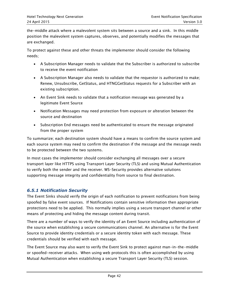the-middle attack where a malevolent system sits between a source and a sink. In this middle position the malevolent system captures, observes, and potentially modifies the messages that are exchanged.

To protect against these and other threats the implementer should consider the following needs;

- A Subscription Manager needs to validate that the Subscriber is authorized to subscribe to receive the event notification
- A Subscription Manager also needs to validate that the requestor is authorized to make; Renew, Unsubscribe, GetStatus, and HTNGGetStatus requests for a Subscriber with an existing subscription.
- An Event Sink needs to validate that a notification message was generated by a legitimate Event Source
- Notification Messages may need protection from exposure or alteration between the source and destination
- Subscription End messages need be authenticated to ensure the message originated from the proper system

To summarize; each destination system should have a means to confirm the source system and each source system may need to confirm the destination if the message and the message needs to be protected between the two systems.

In most cases the implementer should consider exchanging all messages over a secure transport layer like HTTPS using Transport Layer Security (TLS) and using Mutual Authentication to verify both the sender and the receiver. WS-Security provides alternative solutions supporting message integrity and confidentiality from source to final destination.

#### <span id="page-41-0"></span>*6.5.1 Notification Security*

The Event Sinks should verify the origin of each notification to prevent notifications from being spoofed by false event sources. If Notifications contain sensitive information then appropriate protections need to be applied. This normally implies using a secure transport channel or other means of protecting and hiding the message content during transit.

There are a number of ways to verify the identity of an Event Source including authentication of the source when establishing a secure communications channel. An alternative is for the Event Source to provide identity credentials or a secure identity token with each message. These credentials should be verified with each message.

The Event Source may also want to verify the Event Sink to protect against man-in-the-middle or spoofed-receiver attacks. When using web protocols this is often accomplished by using Mutual Authentication when establishing a secure Transport Layer Security (TLS) session.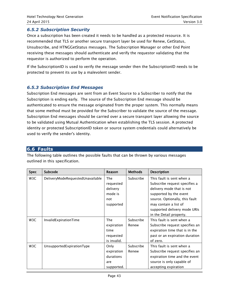#### <span id="page-42-0"></span>*6.5.2 Subscription Security*

Once a subscription has been created it needs to be handled as a protected resource. It is recommended that TLS or another secure transport layer be used for Renew, GetStatus, Unsubscribe, and HTNGGetStatus messages. The Subscription Manager or other End Point receiving these messages should authenticate and verify the requestor validating that the requestor is authorized to perform the operation.

If the SubscriptionID is used to verify the message sender then the SubscriptionID needs to be protected to prevent its use by a malevolent sender.

#### <span id="page-42-1"></span>*6.5.3 Subscription End Messages*

Subscription End messages are sent from an Event Source to a Subscriber to notify that the Subscription is ending early. The source of the Subscription End message should be authenticated to ensure the message originated from the proper system. This normally means that some method must be provided for the Subscriber to validate the source of the message. Subscription End messages should be carried over a secure transport layer allowing the source to be validated using Mutual Authentication when establishing the TLS session. A protected identity or protected SubscriptionID token or source system credentials could alternatively be used to verify the sender's identity.

#### <span id="page-42-2"></span>**6.6 Faults**

The following table outlines the possible faults that can be thrown by various messages outlined in this specification.

| <b>Spec</b> | Subcode                          | Reason      | <b>Methods</b> | <b>Description</b>             |
|-------------|----------------------------------|-------------|----------------|--------------------------------|
| W3C         | DeliveryModeRequestedUnavailable | <b>The</b>  | Subscribe      | This fault is sent when a      |
|             |                                  | requested   |                | Subscribe request specifies a  |
|             |                                  | delivery    |                | delivery mode that is not      |
|             |                                  | mode is     |                | supported by the event         |
|             |                                  | not         |                | source. Optionally, this fault |
|             |                                  | supported   |                | may contain a list of          |
|             |                                  |             |                | supported delivery mode URIs   |
|             |                                  |             |                | in the Detail property.        |
| W3C         | InvalidExpirationTime            | <b>The</b>  | Subscribe      | This fault is sent when a      |
|             |                                  | expiration  | Renew          | Subscribe request specifies an |
|             |                                  | time        |                | expiration time that is in the |
|             |                                  | requested   |                | past or an expiration duration |
|             |                                  | is invalid. |                | of zero.                       |
| W3C         | UnsupportedExpirationType        | Only        | Subscribe      | This fault is sent when a      |
|             |                                  | expiration  | Renew          | Subscribe request specifies an |
|             |                                  | durations   |                | expiration time and the event  |
|             |                                  | are         |                | source is only capable of      |
|             |                                  | supported.  |                | accepting expiration           |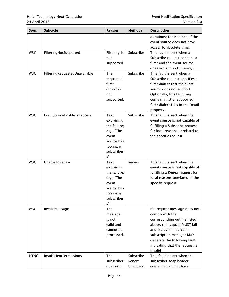| <b>Spec</b>      | Subcode                        | Reason                                                                                                      | <b>Methods</b>                  | Description                                                                                                                                                                                                                                          |
|------------------|--------------------------------|-------------------------------------------------------------------------------------------------------------|---------------------------------|------------------------------------------------------------------------------------------------------------------------------------------------------------------------------------------------------------------------------------------------------|
|                  |                                |                                                                                                             |                                 | durations; for instance, if the<br>event source does not have<br>access to absolute time.                                                                                                                                                            |
| W3C              | FilteringNotSupported          | Filtering is<br>not<br>supported.                                                                           | Subscribe                       | This fault is sent when a<br>Subscribe request contains a<br>filter and the event source<br>does not support filtering.                                                                                                                              |
| W <sub>3</sub> C | FilteringRequestedUnavailable  | <b>The</b><br>requested<br>filter<br>dialect is<br>not<br>supported.                                        | Subscribe                       | This fault is sent when a<br>Subscribe request specifies a<br>filter dialect that the event<br>source does not support.<br>Optionally, this fault may<br>contain a list of supported<br>filter dialect URIs in the Detail<br>property.               |
| W3C              | EventSourceUnableToProcess     | Text<br>explaining<br>the failure;<br>e.g., "The<br>event<br>source has<br>too many<br>subscriber<br>$s$ ". | Subscribe                       | This fault is sent when the<br>event source is not capable of<br>fulfilling a Subscribe request<br>for local reasons unrelated to<br>the specific request.                                                                                           |
| W3C              | UnableToRenew                  | Text<br>explaining<br>the failure;<br>e.g., "The<br>event<br>source has<br>too many<br>subscriber<br>$s$ ". | Renew                           | This fault is sent when the<br>event source is not capable of<br>fulfilling a Renew request for<br>local reasons unrelated to the<br>specific request.                                                                                               |
| W3C              | InvalidMessage                 | <b>The</b><br>message<br>is not<br>valid and<br>cannot be<br>processed.                                     |                                 | If a request message does not<br>comply with the<br>corresponding outline listed<br>above, the request MUST fail<br>and the event source or<br>subscription manager MAY<br>generate the following fault<br>indicating that the request is<br>invalid |
| <b>HTNG</b>      | <b>InsufficientPermissions</b> | <b>The</b><br>subscriber<br>does not                                                                        | Subscribe<br>Renew<br>Unsubscri | This fault is sent when the<br>subscriber soap header<br>credentials do not have                                                                                                                                                                     |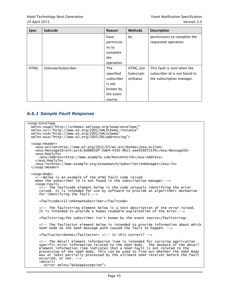| <b>Spec</b> | Subcode           | Reason     | <b>Methods</b> | <b>Description</b>            |
|-------------|-------------------|------------|----------------|-------------------------------|
|             |                   | have       | be             | permissions to complete the   |
|             |                   | permissio  |                | requested operation.          |
|             |                   | ns to      |                |                               |
|             |                   | complete   |                |                               |
|             |                   | the        |                |                               |
|             |                   | operation. |                |                               |
| <b>HTNG</b> | UnknownSubscriber | <b>The</b> | HTNG Get       | This fault is sent when the   |
|             |                   | specified  | Subscripti     | subscriber id is not found in |
|             |                   | subscriber | onStatus       | the subscription manager.     |
|             |                   | is not     |                |                               |
|             |                   | known by   |                |                               |
|             |                   | the event  |                |                               |
|             |                   | source.    |                |                               |

# <span id="page-44-0"></span>*6.6.1 Sample Fault Response*

| <soap:envelope<br>xmlns:soap="http://schemas.xmlsoap.org/soap/envelope/"<br/>xmlns:xsi="http://www.w3.org/2001/XMLSchema-instance"<br/>xmlns:xsd="http://www.w3.org/2001/XMLSchema"<br/><math>xmlns:ws</math>a="http://www.w3.org/2005/08/addressing"&gt;</soap:envelope<br>                                                                                                                                                                             |
|----------------------------------------------------------------------------------------------------------------------------------------------------------------------------------------------------------------------------------------------------------------------------------------------------------------------------------------------------------------------------------------------------------------------------------------------------------|
| <soap:header><br/><wsa:action>http://www.w3.org/2011/03/ws-evt/Renew</wsa:action><br/><wsa:messageid>urn:uuid:bd88b3df-5db4-4392-9621-aee9160721f6</wsa:messageid><br/><wsa:replyto></wsa:replyto></soap:header>                                                                                                                                                                                                                                         |
| <wsa:address>http://www.example.com/MyEventSink</wsa:address>                                                                                                                                                                                                                                                                                                                                                                                            |
| $\langle$ /wsa:ReplyTo $\rangle$<br><wsa:to>http://www.example.org/oceanwatch/SubscriptionManager</wsa:to><br>$\langle$ /soap:Header>                                                                                                                                                                                                                                                                                                                    |
| <soap:body></soap:body>                                                                                                                                                                                                                                                                                                                                                                                                                                  |
| Below is an example of the HTNG fault code raised<br>when the subscriber id is not found in the subscription manager.<math>\rightarrow</math><br><math><</math>soap: Fault></td></tr><tr><td><!-- The faultcode element below is the code uniquely identifying the error<br>raised. It is intended for use by software to provide an algorithmic mechanism<br>for identifying the fault.                                                                 |
| <faultcode>s12:UnknownSubscriber</faultcode>                                                                                                                                                                                                                                                                                                                                                                                                             |
| The faultstring element below is a text description of the error raised.<br>It is intended to provide a human readable explaination of the error.                                                                                                                                                                                                                                                                                                        |
| <faultstring>The subscriber isn't known by the event source</faultstring>                                                                                                                                                                                                                                                                                                                                                                                |
| The faultactor element below is intended to provide information about which<br>SOAP node on the SOAP message path caused the fault to happen. <math>\rightarrow</math></td></tr><tr><td><faultactor>Renew</faultactor> <!-- Is this correct?                                                                                                                                                                                                             |
| The detail element information item is intended for carrying application<br>specific error information related to the SOAP Body. The absence of the detail<br>element information item indicates that a SOAP Fault is not related to the<br>processing of the SOAP Body. This can be used to find out whether the SOAP Body<br>was at least partially processed by the ultimate SOAP receiver before the fault<br>occurred, or not.<br><detail></detail> |
| <error xmlns="WSSoapException"></error>                                                                                                                                                                                                                                                                                                                                                                                                                  |
|                                                                                                                                                                                                                                                                                                                                                                                                                                                          |